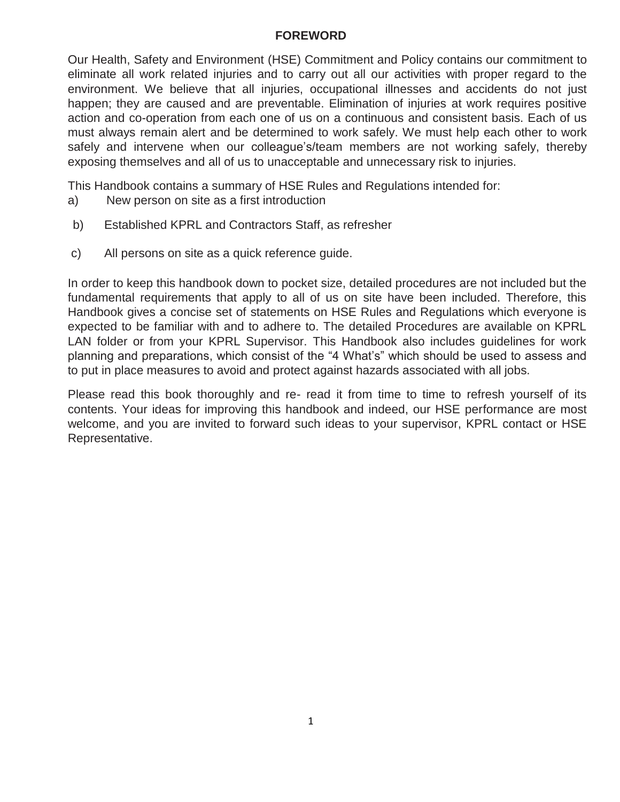## **FOREWORD**

Our Health, Safety and Environment (HSE) Commitment and Policy contains our commitment to eliminate all work related injuries and to carry out all our activities with proper regard to the environment. We believe that all injuries, occupational illnesses and accidents do not just happen; they are caused and are preventable. Elimination of injuries at work requires positive action and co-operation from each one of us on a continuous and consistent basis. Each of us must always remain alert and be determined to work safely. We must help each other to work safely and intervene when our colleague's/team members are not working safely, thereby exposing themselves and all of us to unacceptable and unnecessary risk to injuries.

This Handbook contains a summary of HSE Rules and Regulations intended for:

- a) New person on site as a first introduction
- b) Established KPRL and Contractors Staff, as refresher
- c) All persons on site as a quick reference guide.

In order to keep this handbook down to pocket size, detailed procedures are not included but the fundamental requirements that apply to all of us on site have been included. Therefore, this Handbook gives a concise set of statements on HSE Rules and Regulations which everyone is expected to be familiar with and to adhere to. The detailed Procedures are available on KPRL LAN folder or from your KPRL Supervisor. This Handbook also includes guidelines for work planning and preparations, which consist of the "4 What's" which should be used to assess and to put in place measures to avoid and protect against hazards associated with all jobs.

Please read this book thoroughly and re- read it from time to time to refresh yourself of its contents. Your ideas for improving this handbook and indeed, our HSE performance are most welcome, and you are invited to forward such ideas to your supervisor, KPRL contact or HSE Representative.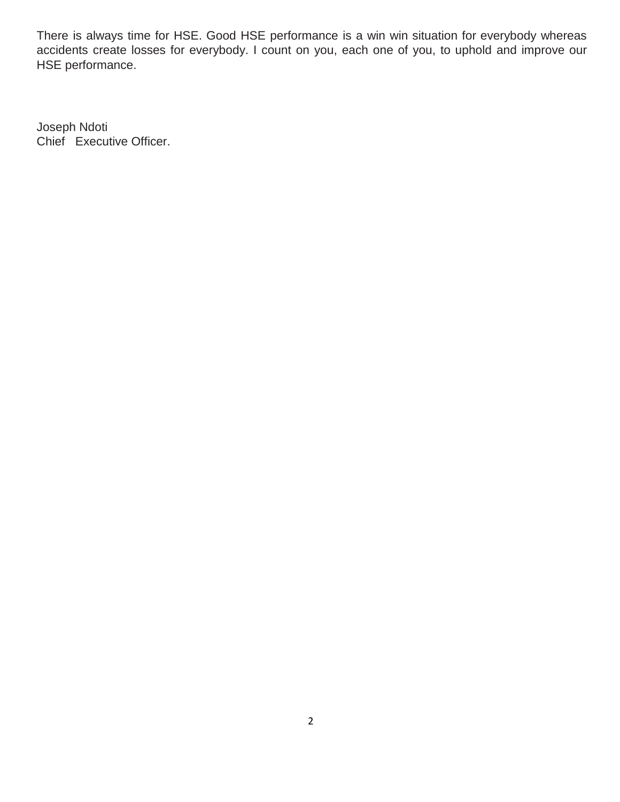There is always time for HSE. Good HSE performance is a win win situation for everybody whereas accidents create losses for everybody. I count on you, each one of you, to uphold and improve our HSE performance.

Joseph Ndoti Chief Executive Officer.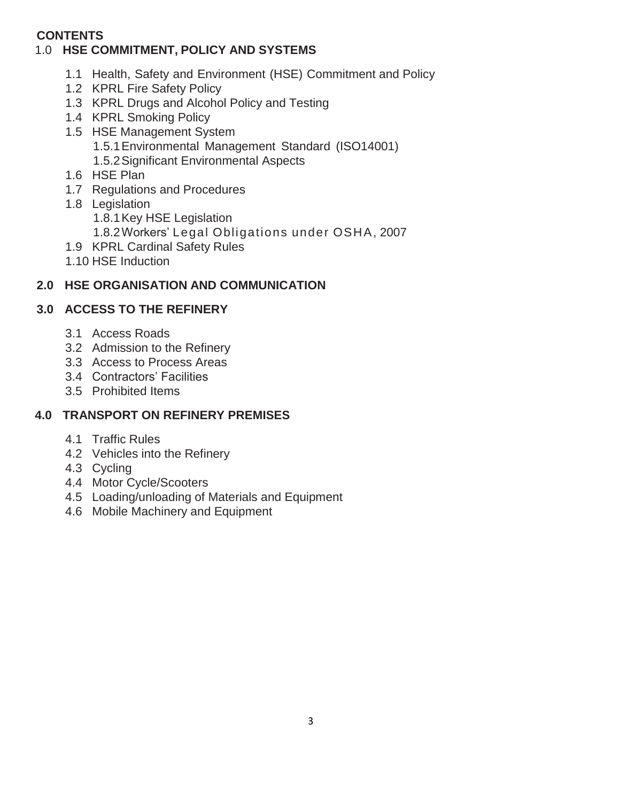## **CONTENTS**

## 1.0 **HSE COMMITMENT, POLICY AND SYSTEMS**

- 1.1 Health, Safety and Environment (HSE) Commitment and Policy
- 1.2 KPRL Fire Safety Policy
- 1.3 KPRL Drugs and Alcohol Policy and Testing
- 1.4 KPRL Smoking Policy
- 1.5 HSE Management System
	- 1.5.1Environmental Management Standard (ISO14001)
	- 1.5.2Significant Environmental Aspects
- 1.6 HSE Plan
- 1.7 Regulations and Procedures
- 1.8 Legislation
	- 1.8.1Key HSE Legislation
	- 1.8.2Workers' Legal Obligations under OSHA, 2007
- 1.9 KPRL Cardinal Safety Rules
- 1.10 HSE Induction

#### **2.0 HSE ORGANISATION AND COMMUNICATION**

#### **3.0 ACCESS TO THE REFINERY**

- 3.1 Access Roads
- 3.2 Admission to the Refinery
- 3.3 Access to Process Areas
- 3.4 Contractors' Facilities
- 3.5 Prohibited Items

### **4.0 TRANSPORT ON REFINERY PREMISES**

- 4.1 Traffic Rules
- 4.2 Vehicles into the Refinery
- 4.3 Cycling
- 4.4 Motor Cycle/Scooters
- 4.5 Loading/unloading of Materials and Equipment
- 4.6 Mobile Machinery and Equipment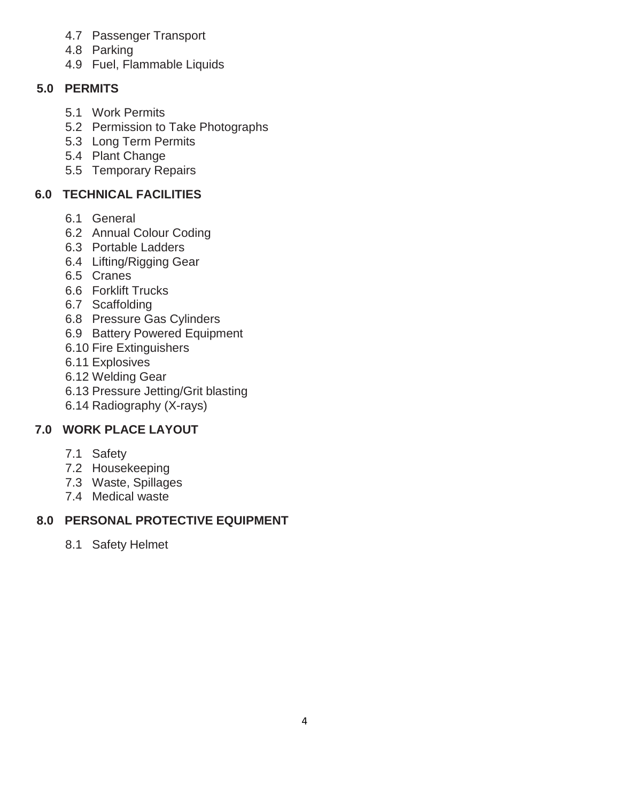- 4.7 Passenger Transport
- 4.8 Parking
- 4.9 Fuel, Flammable Liquids

## **5.0 PERMITS**

- 5.1 Work Permits
- 5.2 Permission to Take Photographs
- 5.3 Long Term Permits
- 5.4 Plant Change
- 5.5 Temporary Repairs

## **6.0 TECHNICAL FACILITIES**

- 6.1 General
- 6.2 Annual Colour Coding
- 6.3 Portable Ladders
- 6.4 Lifting/Rigging Gear
- 6.5 Cranes
- 6.6 Forklift Trucks
- 6.7 Scaffolding
- 6.8 Pressure Gas Cylinders
- 6.9 Battery Powered Equipment
- 6.10 Fire Extinguishers
- 6.11 Explosives
- 6.12 Welding Gear
- 6.13 Pressure Jetting/Grit blasting
- 6.14 Radiography (X-rays)

# **7.0 WORK PLACE LAYOUT**

- 7.1 Safety
- 7.2 Housekeeping
- 7.3 Waste, Spillages
- 7.4 Medical waste

# **8.0 PERSONAL PROTECTIVE EQUIPMENT**

8.1 Safety Helmet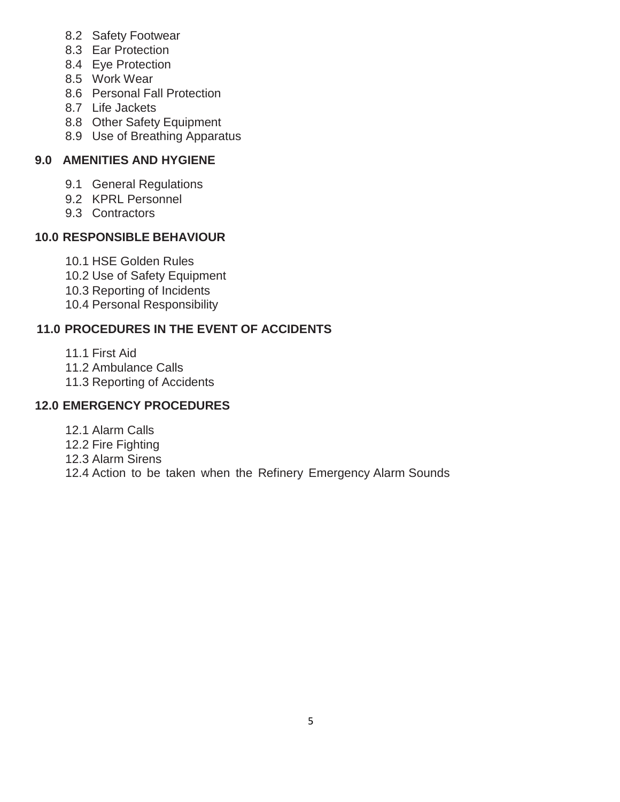- 8.2 Safety Footwear
- 8.3 Ear Protection
- 8.4 Eye Protection
- 8.5 Work Wear
- 8.6 Personal Fall Protection
- 8.7 Life Jackets
- 8.8 Other Safety Equipment
- 8.9 Use of Breathing Apparatus

# **9.0 AMENITIES AND HYGIENE**

- 9.1 General Regulations
- 9.2 KPRL Personnel
- 9.3 Contractors

# **10.0 RESPONSIBLE BEHAVIOUR**

- 10.1 HSE Golden Rules
- 10.2 Use of Safety Equipment
- 10.3 Reporting of Incidents
- 10.4 Personal Responsibility

# **11.0 PROCEDURES IN THE EVENT OF ACCIDENTS**

- 11.1 First Aid
- 11.2 Ambulance Calls
- 11.3 Reporting of Accidents

# **12.0 EMERGENCY PROCEDURES**

12.1 Alarm Calls 12.2 Fire Fighting 12.3 Alarm Sirens 12.4 Action to be taken when the Refinery Emergency Alarm Sounds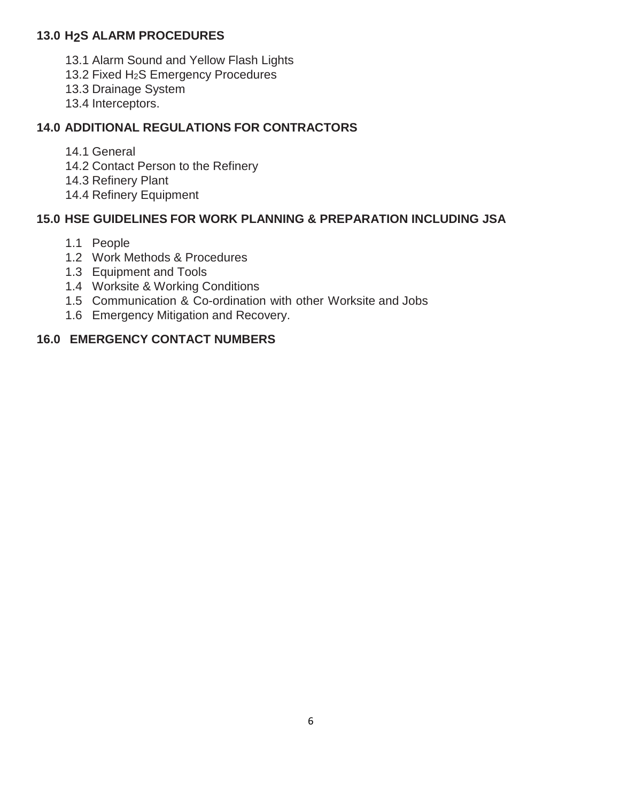## **13.0 H2S ALARM PROCEDURES**

- 13.1 Alarm Sound and Yellow Flash Lights
- 13.2 Fixed H2S Emergency Procedures
- 13.3 Drainage System
- 13.4 Interceptors.

## **14.0 ADDITIONAL REGULATIONS FOR CONTRACTORS**

14.1 General

- 14.2 Contact Person to the Refinery
- 14.3 Refinery Plant
- 14.4 Refinery Equipment

## **15.0 HSE GUIDELINES FOR WORK PLANNING & PREPARATION INCLUDING JSA**

- 1.1 People
- 1.2 Work Methods & Procedures
- 1.3 Equipment and Tools
- 1.4 Worksite & Working Conditions
- 1.5 Communication & Co-ordination with other Worksite and Jobs
- 1.6 Emergency Mitigation and Recovery.

## **16.0 EMERGENCY CONTACT NUMBERS**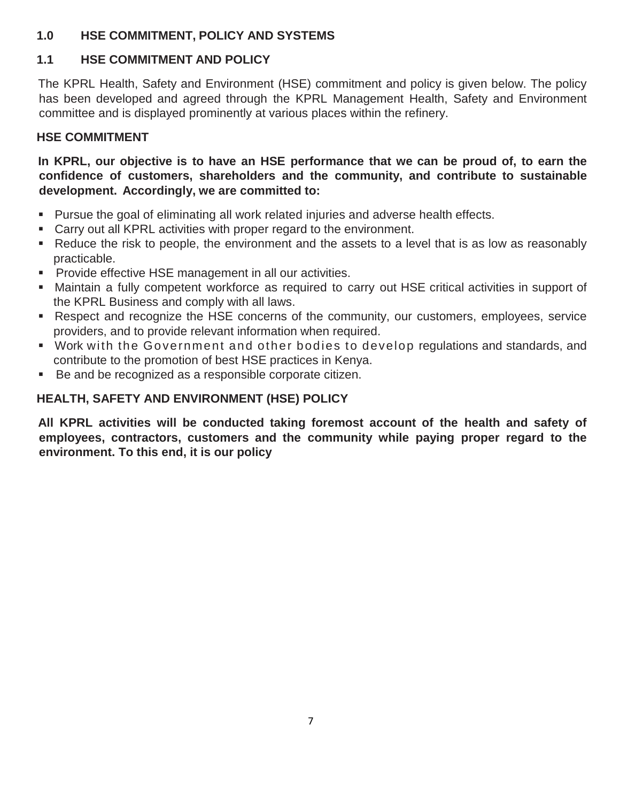## **1.0 HSE COMMITMENT, POLICY AND SYSTEMS**

# **1.1 HSE COMMITMENT AND POLICY**

The KPRL Health, Safety and Environment (HSE) commitment and policy is given below. The policy has been developed and agreed through the KPRL Management Health, Safety and Environment committee and is displayed prominently at various places within the refinery.

## **HSE COMMITMENT**

**In KPRL, our objective is to have an HSE performance that we can be proud of, to earn the confidence of customers, shareholders and the community, and contribute to sustainable development. Accordingly, we are committed to:**

- Pursue the goal of eliminating all work related injuries and adverse health effects.
- Carry out all KPRL activities with proper regard to the environment.
- Reduce the risk to people, the environment and the assets to a level that is as low as reasonably practicable.
- **Provide effective HSE management in all our activities.**
- Maintain a fully competent workforce as required to carry out HSE critical activities in support of the KPRL Business and comply with all laws.
- Respect and recognize the HSE concerns of the community, our customers, employees, service providers, and to provide relevant information when required.
- Work with the Government and other bodies to develop regulations and standards, and contribute to the promotion of best HSE practices in Kenya.
- Be and be recognized as a responsible corporate citizen.

# **HEALTH, SAFETY AND ENVIRONMENT (HSE) POLICY**

**All KPRL activities will be conducted taking foremost account of the health and safety of employees, contractors, customers and the community while paying proper regard to the environment. To this end, it is our policy**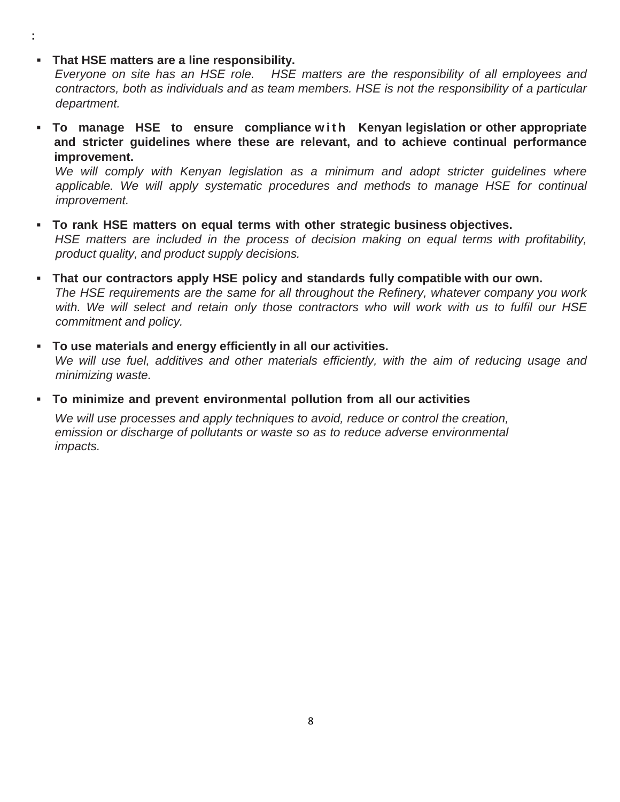**▪ That HSE matters are a line responsibility.**

**:**

*Everyone on site has an HSE role. HSE matters are the responsibility of all employees and contractors, both as individuals and as team members. HSE is not the responsibility of a particular department.*

**10 manage HSE to ensure compliance with Kenyan legislation or other appropriate and stricter guidelines where these are relevant, and to achieve continual performance improvement.**

*We will comply with Kenyan legislation as a minimum and adopt stricter guidelines where applicable. We will apply systematic procedures and methods to manage HSE for continual improvement.*

- **▪ To rank HSE matters on equal terms with other strategic business objectives.** *HSE matters are included in the process of decision making on equal terms with profitability, product quality, and product supply decisions.*
- **▪ That our contractors apply HSE policy and standards fully compatible with our own.** *The HSE requirements are the same for all throughout the Refinery, whatever company you work with. We will select and retain only those contractors who will work with us to fulfil our HSE commitment and policy.*
- **▪ To use materials and energy efficiently in all our activities.** *We will use fuel, additives and other materials efficiently, with the aim of reducing usage and minimizing waste.*
- **▪ To minimize and prevent environmental pollution from all our activities**

*We will use processes and apply techniques to avoid, reduce or control the creation, emission or discharge of pollutants or waste so as to reduce adverse environmental impacts.*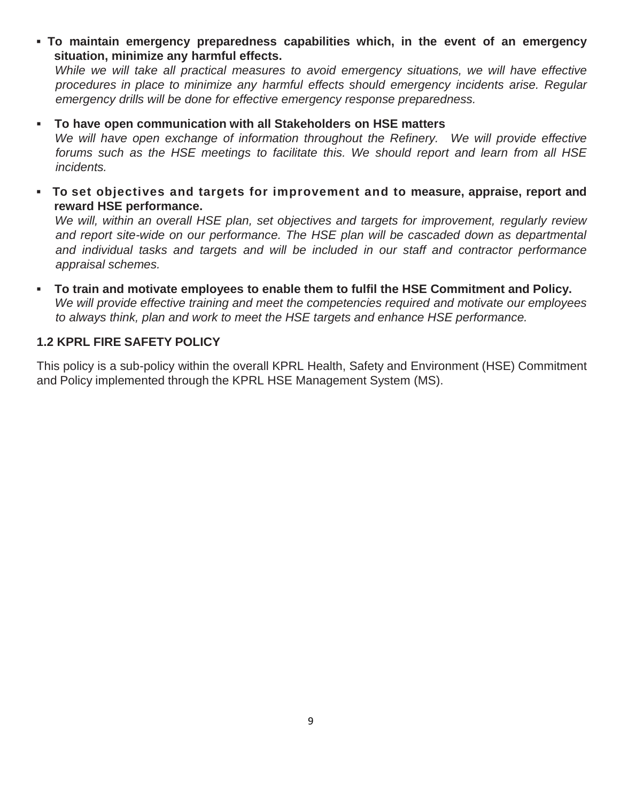**▪ To maintain emergency preparedness capabilities which, in the event of an emergency situation, minimize any harmful effects.**

*While we will take all practical measures to avoid emergency situations, we will have effective procedures in place to minimize any harmful effects should emergency incidents arise. Regular emergency drills will be done for effective emergency response preparedness.*

#### **▪ To have open communication with all Stakeholders on HSE matters**

*We will have open exchange of information throughout the Refinery. We will provide effective forums such as the HSE meetings to facilitate this. We should report and learn from all HSE incidents.*

**▪ To set objectives and targets for improvement and to measure, appraise, report and reward HSE performance.**

*We will, within an overall HSE plan, set objectives and targets for improvement, regularly review and report site-wide on our performance. The HSE plan will be cascaded down as departmental and individual tasks and targets and will be included in our staff and contractor performance appraisal schemes.*

**▪ To train and motivate employees to enable them to fulfil the HSE Commitment and Policy.** *We will provide effective training and meet the competencies required and motivate our employees to always think, plan and work to meet the HSE targets and enhance HSE performance.*

## **1.2 KPRL FIRE SAFETY POLICY**

This policy is a sub-policy within the overall KPRL Health, Safety and Environment (HSE) Commitment and Policy implemented through the KPRL HSE Management System (MS).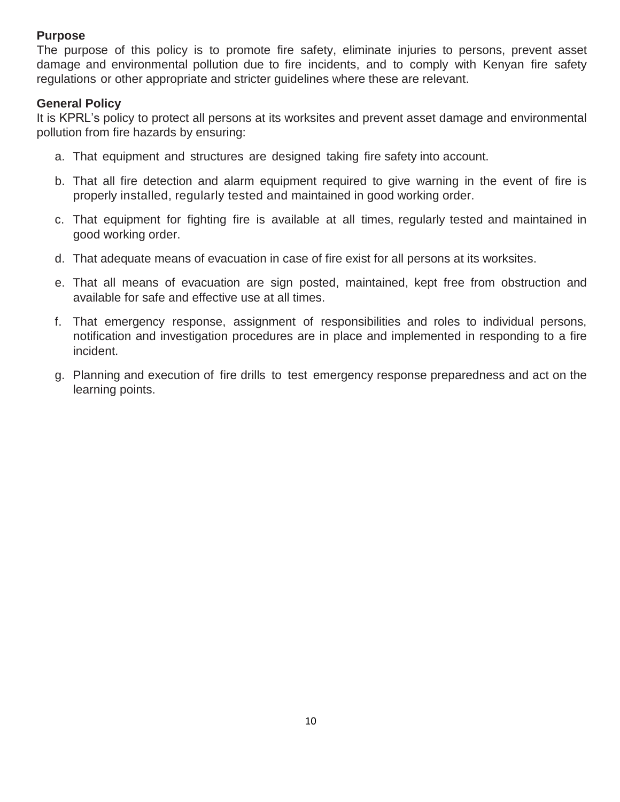## **Purpose**

The purpose of this policy is to promote fire safety, eliminate injuries to persons, prevent asset damage and environmental pollution due to fire incidents, and to comply with Kenyan fire safety regulations or other appropriate and stricter guidelines where these are relevant.

## **General Policy**

It is KPRL's policy to protect all persons at its worksites and prevent asset damage and environmental pollution from fire hazards by ensuring:

- a. That equipment and structures are designed taking fire safety into account.
- b. That all fire detection and alarm equipment required to give warning in the event of fire is properly installed, regularly tested and maintained in good working order.
- c. That equipment for fighting fire is available at all times, regularly tested and maintained in good working order.
- d. That adequate means of evacuation in case of fire exist for all persons at its worksites.
- e. That all means of evacuation are sign posted, maintained, kept free from obstruction and available for safe and effective use at all times.
- f. That emergency response, assignment of responsibilities and roles to individual persons, notification and investigation procedures are in place and implemented in responding to a fire incident.
- g. Planning and execution of fire drills to test emergency response preparedness and act on the learning points.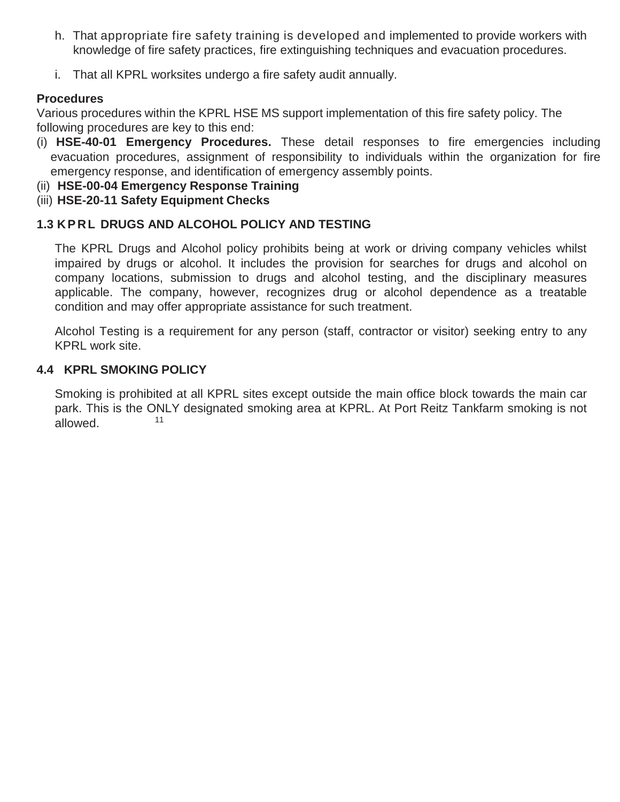- h. That appropriate fire safety training is developed and implemented to provide workers with knowledge of fire safety practices, fire extinguishing techniques and evacuation procedures.
- i. That all KPRL worksites undergo a fire safety audit annually.

## **Procedures**

Various procedures within the KPRL HSE MS support implementation of this fire safety policy. The following procedures are key to this end:

- (i) **HSE-40-01 Emergency Procedures.** These detail responses to fire emergencies including evacuation procedures, assignment of responsibility to individuals within the organization for fire emergency response, and identification of emergency assembly points.
- (ii) **HSE-00-04 Emergency Response Training**

## (iii) **HSE-20-11 Safety Equipment Checks**

## **1.3 KP RL DRUGS AND ALCOHOL POLICY AND TESTING**

The KPRL Drugs and Alcohol policy prohibits being at work or driving company vehicles whilst impaired by drugs or alcohol. It includes the provision for searches for drugs and alcohol on company locations, submission to drugs and alcohol testing, and the disciplinary measures applicable. The company, however, recognizes drug or alcohol dependence as a treatable condition and may offer appropriate assistance for such treatment.

Alcohol Testing is a requirement for any person (staff, contractor or visitor) seeking entry to any KPRL work site.

## **4.4 KPRL SMOKING POLICY**

11 Smoking is prohibited at all KPRL sites except outside the main office block towards the main car park. This is the ONLY designated smoking area at KPRL. At Port Reitz Tankfarm smoking is not allowed.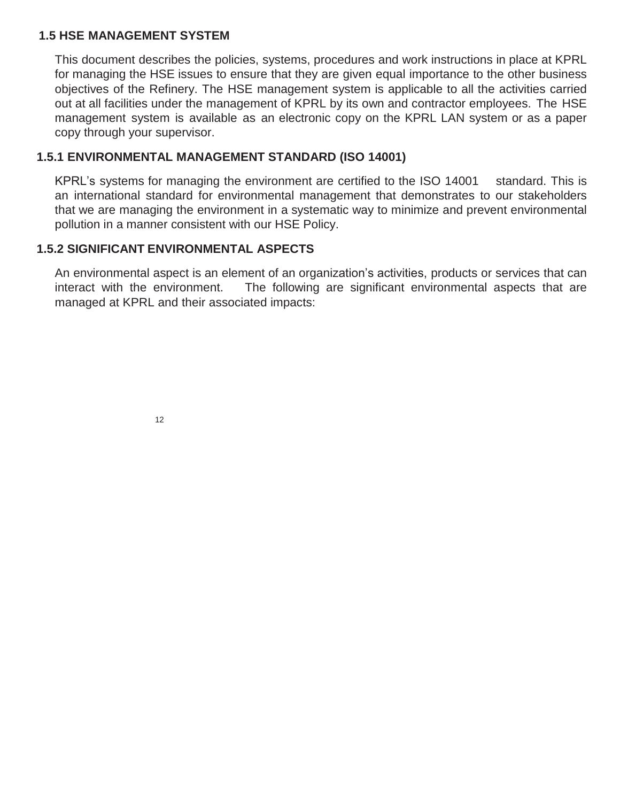#### **1.5 HSE MANAGEMENT SYSTEM**

This document describes the policies, systems, procedures and work instructions in place at KPRL for managing the HSE issues to ensure that they are given equal importance to the other business objectives of the Refinery. The HSE management system is applicable to all the activities carried out at all facilities under the management of KPRL by its own and contractor employees. The HSE management system is available as an electronic copy on the KPRL LAN system or as a paper copy through your supervisor.

## **1.5.1 ENVIRONMENTAL MANAGEMENT STANDARD (ISO 14001)**

KPRL's systems for managing the environment are certified to the ISO 14001 standard. This is an international standard for environmental management that demonstrates to our stakeholders that we are managing the environment in a systematic way to minimize and prevent environmental pollution in a manner consistent with our HSE Policy.

## **1.5.2 SIGNIFICANT ENVIRONMENTAL ASPECTS**

An environmental aspect is an element of an organization's activities, products or services that can interact with the environment. The following are significant environmental aspects that are managed at KPRL and their associated impacts:

12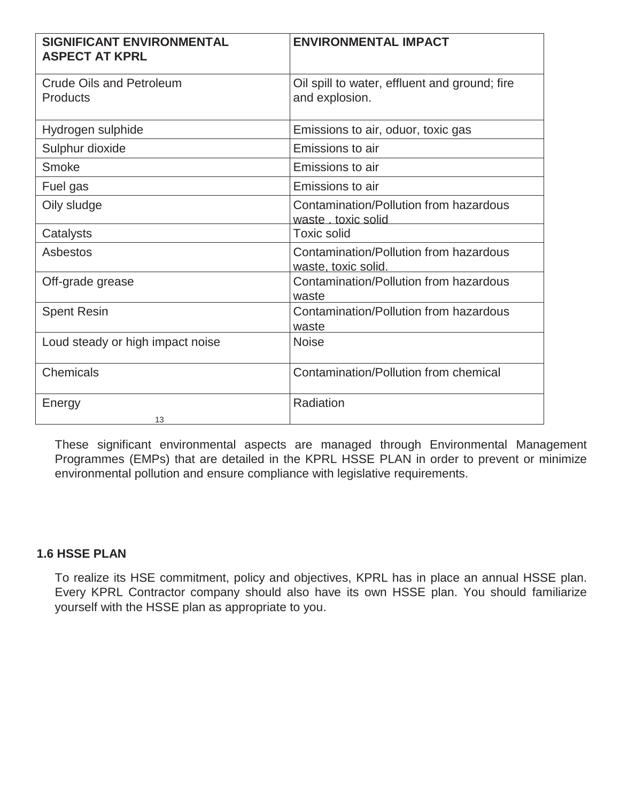| <b>SIGNIFICANT ENVIRONMENTAL</b><br><b>ASPECT AT KPRL</b> | <b>ENVIRONMENTAL IMPACT</b>                                     |
|-----------------------------------------------------------|-----------------------------------------------------------------|
| <b>Crude Oils and Petroleum</b><br><b>Products</b>        | Oil spill to water, effluent and ground; fire<br>and explosion. |
| Hydrogen sulphide                                         | Emissions to air, oduor, toxic gas                              |
| Sulphur dioxide                                           | Emissions to air                                                |
| Smoke                                                     | Emissions to air                                                |
| Fuel gas                                                  | Emissions to air                                                |
| Oily sludge                                               | Contamination/Pollution from hazardous<br>waste, toxic solid    |
| Catalysts                                                 | <b>Toxic solid</b>                                              |
| <b>Asbestos</b>                                           | Contamination/Pollution from hazardous<br>waste, toxic solid.   |
| Off-grade grease                                          | Contamination/Pollution from hazardous<br>waste                 |
| <b>Spent Resin</b>                                        | Contamination/Pollution from hazardous<br>waste                 |
| Loud steady or high impact noise                          | <b>Noise</b>                                                    |
| <b>Chemicals</b>                                          | Contamination/Pollution from chemical                           |
| Energy<br>13                                              | Radiation                                                       |

These significant environmental aspects are managed through Environmental Management Programmes (EMPs) that are detailed in the KPRL HSSE PLAN in order to prevent or minimize environmental pollution and ensure compliance with legislative requirements.

## **1.6 HSSE PLAN**

To realize its HSE commitment, policy and objectives, KPRL has in place an annual HSSE plan. Every KPRL Contractor company should also have its own HSSE plan. You should familiarize yourself with the HSSE plan as appropriate to you.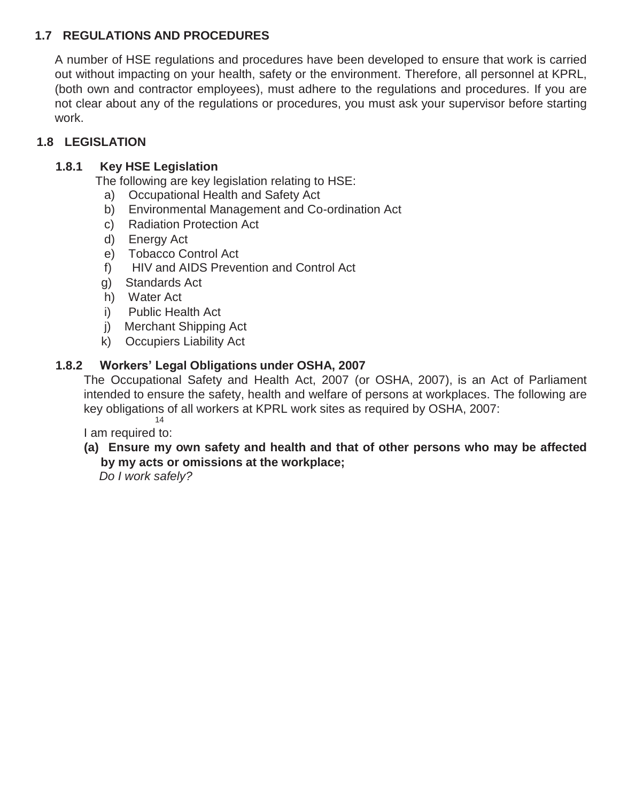## **1.7 REGULATIONS AND PROCEDURES**

A number of HSE regulations and procedures have been developed to ensure that work is carried out without impacting on your health, safety or the environment. Therefore, all personnel at KPRL, (both own and contractor employees), must adhere to the regulations and procedures. If you are not clear about any of the regulations or procedures, you must ask your supervisor before starting work.

## **1.8 LEGISLATION**

## **1.8.1 Key HSE Legislation**

The following are key legislation relating to HSE:

- a) Occupational Health and Safety Act
- b) Environmental Management and Co-ordination Act
- c) Radiation Protection Act
- d) Energy Act
- e) Tobacco Control Act
- f) HIV and AIDS Prevention and Control Act
- g) Standards Act
- h) Water Act
- i) Public Health Act
- j) Merchant Shipping Act
- k) Occupiers Liability Act

## **1.8.2 Workers' Legal Obligations under OSHA, 2007**

14 The Occupational Safety and Health Act, 2007 (or OSHA, 2007), is an Act of Parliament intended to ensure the safety, health and welfare of persons at workplaces. The following are key obligations of all workers at KPRL work sites as required by OSHA, 2007:

I am required to:

**(a) Ensure my own safety and health and that of other persons who may be affected by my acts or omissions at the workplace;**

*Do I work safely?*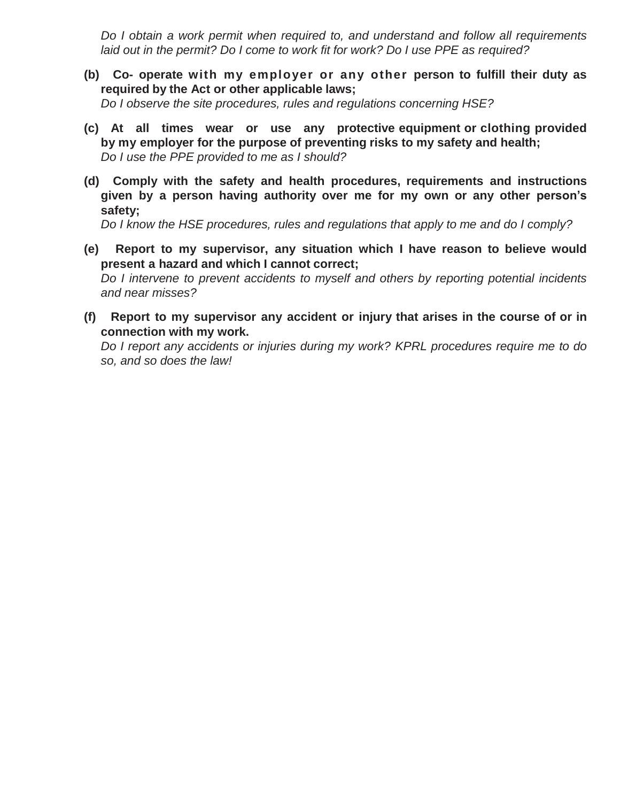*Do I obtain a work permit when required to, and understand and follow all requirements laid out in the permit? Do I come to work fit for work? Do I use PPE as required?*

- **(b) Co- operate with my employer or any other person to fulfill their duty as required by the Act or other applicable laws;** *Do I observe the site procedures, rules and regulations concerning HSE?*
- **(c) At all times wear or use any protective equipment or clothing provided by my employer for the purpose of preventing risks to my safety and health;** *Do I use the PPE provided to me as I should?*
- **(d) Comply with the safety and health procedures, requirements and instructions given by a person having authority over me for my own or any other person's safety;**

*Do I know the HSE procedures, rules and regulations that apply to me and do I comply?*

**(e) Report to my supervisor, any situation which I have reason to believe would present a hazard and which I cannot correct;** *Do I intervene to prevent accidents to myself and others by reporting potential incidents* 

*and near misses?*

**(f) Report to my supervisor any accident or injury that arises in the course of or in connection with my work.**

*Do I report any accidents or injuries during my work? KPRL procedures require me to do so, and so does the law!*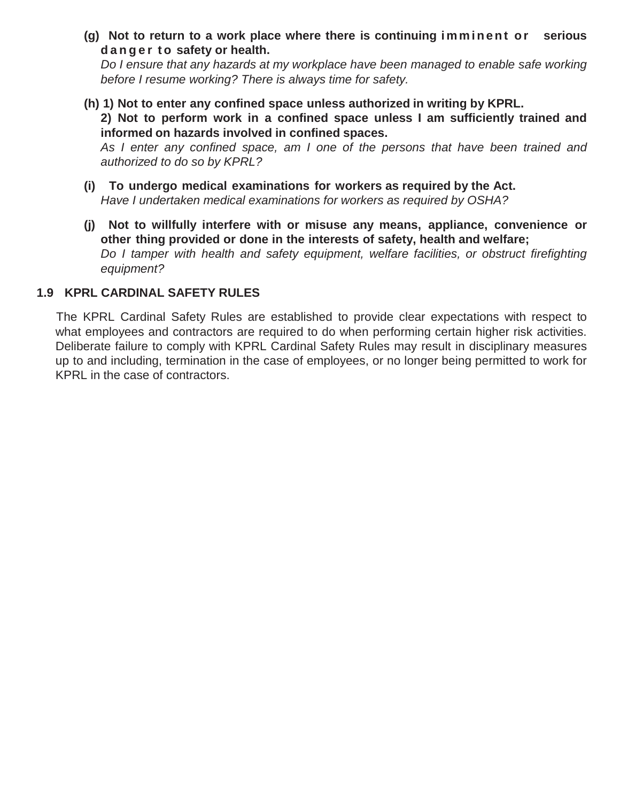**(g) Not to return to a work place where there is continuing i m m i n e n t o r serious d a n g e r t o safety or health.**

*Do I ensure that any hazards at my workplace have been managed to enable safe working before I resume working? There is always time for safety.*

**(h) 1) Not to enter any confined space unless authorized in writing by KPRL. 2) Not to perform work in a confined space unless I am sufficiently trained and informed on hazards involved in confined spaces.**

*As I enter any confined space, am I one of the persons that have been trained and authorized to do so by KPRL?*

- **(i) To undergo medical examinations for workers as required by the Act.** *Have I undertaken medical examinations for workers as required by OSHA?*
- **(j) Not to willfully interfere with or misuse any means, appliance, convenience or other thing provided or done in the interests of safety, health and welfare;** *Do I tamper with health and safety equipment, welfare facilities, or obstruct firefighting equipment?*

## **1.9 KPRL CARDINAL SAFETY RULES**

The KPRL Cardinal Safety Rules are established to provide clear expectations with respect to what employees and contractors are required to do when performing certain higher risk activities. Deliberate failure to comply with KPRL Cardinal Safety Rules may result in disciplinary measures up to and including, termination in the case of employees, or no longer being permitted to work for KPRL in the case of contractors.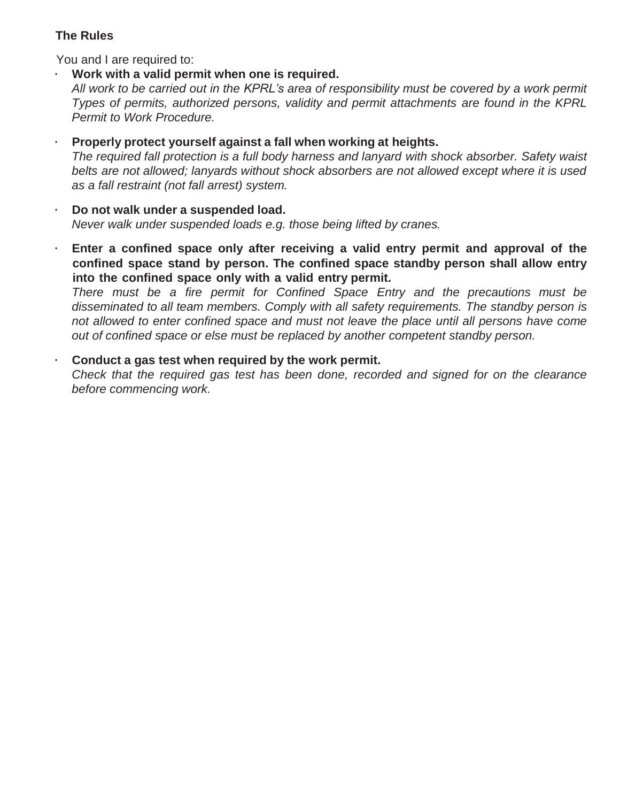## **The Rules**

You and I are required to:

## **· Work with a valid permit when one is required.**

*All work to be carried out in the KPRL's area of responsibility must be covered by a work permit Types of permits, authorized persons, validity and permit attachments are found in the KPRL Permit to Work Procedure.*

## **· Properly protect yourself against a fall when working at heights.**

*The required fall protection is a full body harness and lanyard with shock absorber. Safety waist belts are not allowed; lanyards without shock absorbers are not allowed except where it is used as a fall restraint (not fall arrest) system.*

#### **· Do not walk under a suspended load.** *Never walk under suspended loads e.g. those being lifted by cranes.*

**· Enter a confined space only after receiving a valid entry permit and approval of the confined space stand by person. The confined space standby person shall allow entry into the confined space only with a valid entry permit.**

*There must be a fire permit for Confined Space Entry and the precautions must be disseminated to all team members. Comply with all safety requirements. The standby person is not allowed to enter confined space and must not leave the place until all persons have come out of confined space or else must be replaced by another competent standby person.*

#### **· Conduct a gas test when required by the work permit.**

*Check that the required gas test has been done, recorded and signed for on the clearance before commencing work.*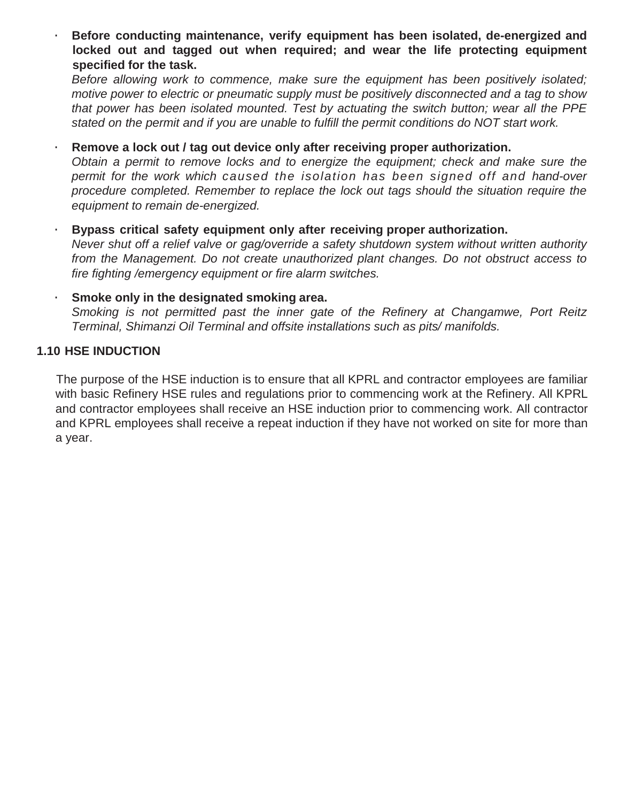**· Before conducting maintenance, verify equipment has been isolated, de-energized and locked out and tagged out when required; and wear the life protecting equipment specified for the task.**

*Before allowing work to commence, make sure the equipment has been positively isolated; motive power to electric or pneumatic supply must be positively disconnected and a tag to show that power has been isolated mounted. Test by actuating the switch button; wear all the PPE stated on the permit and if you are unable to fulfill the permit conditions do NOT start work.*

#### **· Remove a lock out / tag out device only after receiving proper authorization.**

*Obtain a permit to remove locks and to energize the equipment; check and make sure the permit for the work which caused the isolation has been signed off and hand-over procedure completed. Remember to replace the lock out tags should the situation require the equipment to remain de-energized.*

**· Bypass critical safety equipment only after receiving proper authorization.** *Never shut off a relief valve or gag/override a safety shutdown system without written authority from the Management. Do not create unauthorized plant changes. Do not obstruct access to fire fighting /emergency equipment or fire alarm switches.*

#### **· Smoke only in the designated smoking area.**

*Smoking is not permitted past the inner gate of the Refinery at Changamwe, Port Reitz Terminal, Shimanzi Oil Terminal and offsite installations such as pits/ manifolds.*

### **1.10 HSE INDUCTION**

The purpose of the HSE induction is to ensure that all KPRL and contractor employees are familiar with basic Refinery HSE rules and regulations prior to commencing work at the Refinery. All KPRL and contractor employees shall receive an HSE induction prior to commencing work. All contractor and KPRL employees shall receive a repeat induction if they have not worked on site for more than a year.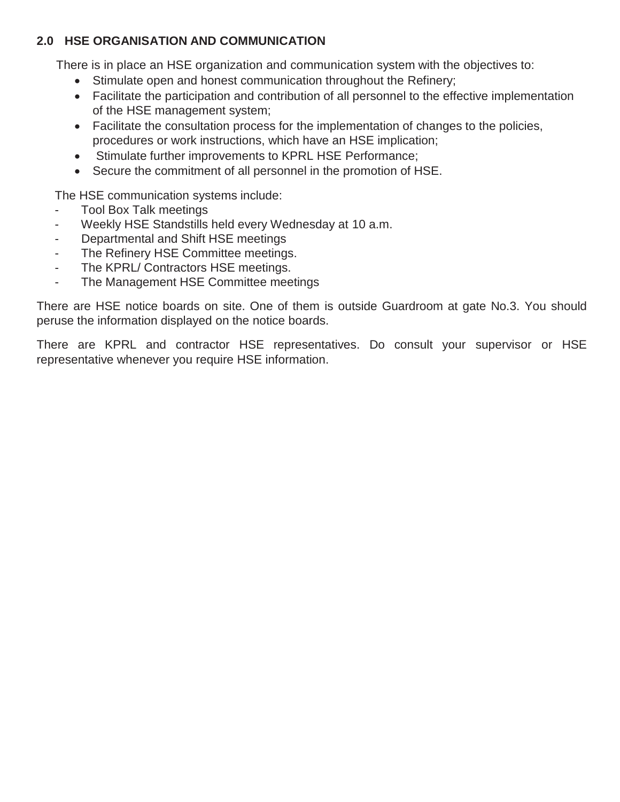## **2.0 HSE ORGANISATION AND COMMUNICATION**

There is in place an HSE organization and communication system with the objectives to:

- Stimulate open and honest communication throughout the Refinery;
- Facilitate the participation and contribution of all personnel to the effective implementation of the HSE management system;
- Facilitate the consultation process for the implementation of changes to the policies, procedures or work instructions, which have an HSE implication;
- Stimulate further improvements to KPRL HSE Performance;
- Secure the commitment of all personnel in the promotion of HSE.

The HSE communication systems include:

- Tool Box Talk meetings
- Weekly HSE Standstills held every Wednesday at 10 a.m.
- Departmental and Shift HSE meetings
- The Refinery HSE Committee meetings.
- The KPRL/ Contractors HSE meetings.
- The Management HSE Committee meetings

There are HSE notice boards on site. One of them is outside Guardroom at gate No.3. You should peruse the information displayed on the notice boards.

There are KPRL and contractor HSE representatives. Do consult your supervisor or HSE representative whenever you require HSE information.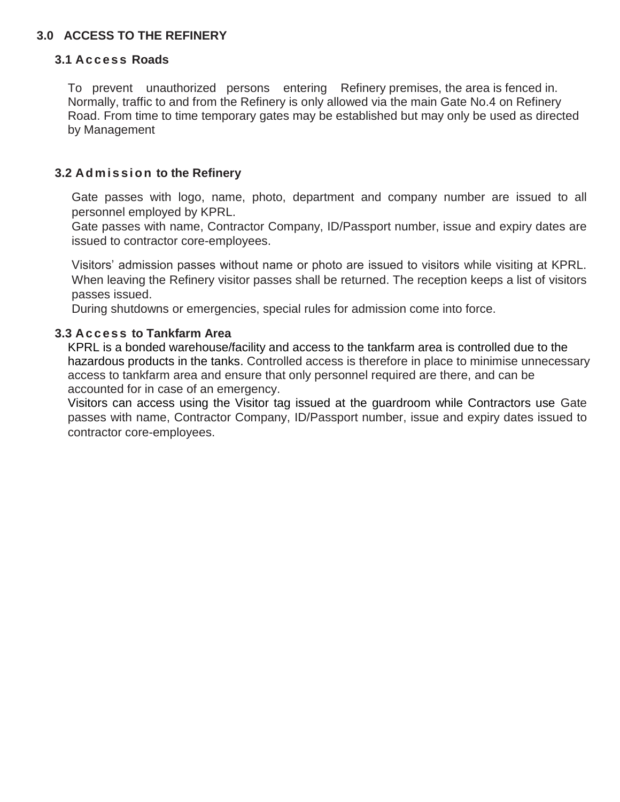## **3.0 ACCESS TO THE REFINERY**

## **3.1 Ac c e s s Roads**

To prevent unauthorized persons entering Refinery premises, the area is fenced in. Normally, traffic to and from the Refinery is only allowed via the main Gate No.4 on Refinery Road. From time to time temporary gates may be established but may only be used as directed by Management

## **3.2 Ad m i s s i on to the Refinery**

Gate passes with logo, name, photo, department and company number are issued to all personnel employed by KPRL.

Gate passes with name, Contractor Company, ID/Passport number, issue and expiry dates are issued to contractor core-employees.

Visitors' admission passes without name or photo are issued to visitors while visiting at KPRL. When leaving the Refinery visitor passes shall be returned. The reception keeps a list of visitors passes issued.

During shutdowns or emergencies, special rules for admission come into force.

#### **3.3 Ac c e s s to Tankfarm Area**

KPRL is a bonded warehouse/facility and access to the tankfarm area is controlled due to the hazardous products in the tanks. Controlled access is therefore in place to minimise unnecessary access to tankfarm area and ensure that only personnel required are there, and can be accounted for in case of an emergency.

Visitors can access using the Visitor tag issued at the guardroom while Contractors use Gate passes with name, Contractor Company, ID/Passport number, issue and expiry dates issued to contractor core-employees.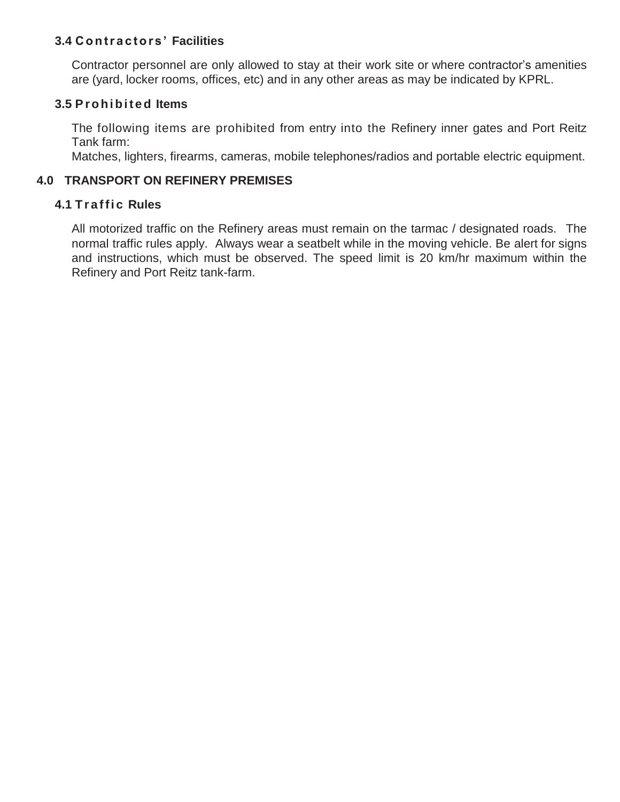## **3.4 Co n tr a c to r s ' Facilities**

Contractor personnel are only allowed to stay at their work site or where contractor's amenities are (yard, locker rooms, offices, etc) and in any other areas as may be indicated by KPRL.

## **3.5 P r o hi bi te d Items**

The following items are prohibited from entry into the Refinery inner gates and Port Reitz Tank farm:

Matches, lighters, firearms, cameras, mobile telephones/radios and portable electric equipment.

## **4.0 TRANSPORT ON REFINERY PREMISES**

## **4.1 T r a f fi c Rules**

All motorized traffic on the Refinery areas must remain on the tarmac / designated roads. The normal traffic rules apply. Always wear a seatbelt while in the moving vehicle. Be alert for signs and instructions, which must be observed. The speed limit is 20 km/hr maximum within the Refinery and Port Reitz tank-farm.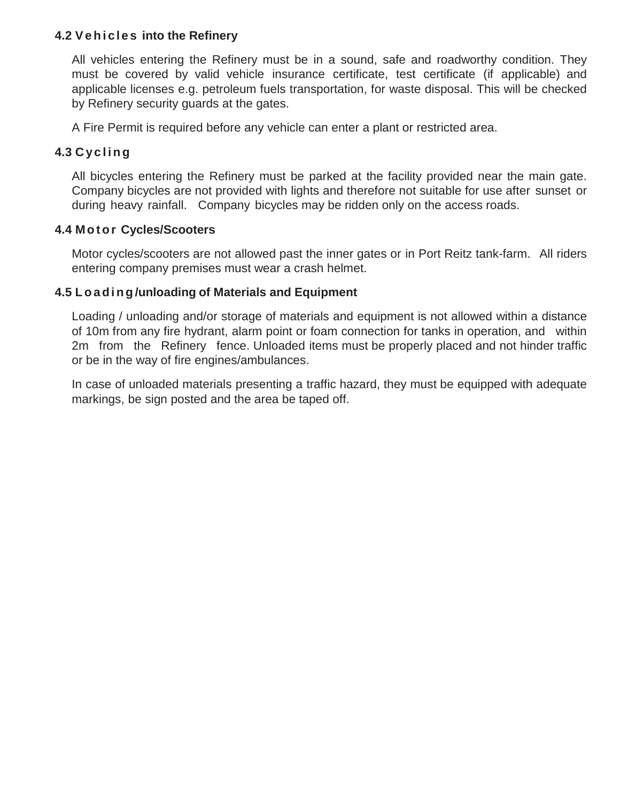## **4.2 V e hi c l e s into the Refinery**

All vehicles entering the Refinery must be in a sound, safe and roadworthy condition. They must be covered by valid vehicle insurance certificate, test certificate (if applicable) and applicable licenses e.g. petroleum fuels transportation, for waste disposal. This will be checked by Refinery security guards at the gates.

A Fire Permit is required before any vehicle can enter a plant or restricted area.

## **4.3 C yc l i n g**

All bicycles entering the Refinery must be parked at the facility provided near the main gate. Company bicycles are not provided with lights and therefore not suitable for use after sunset or during heavy rainfall. Company bicycles may be ridden only on the access roads.

## **4.4 Mo t or Cycles/Scooters**

Motor cycles/scooters are not allowed past the inner gates or in Port Reitz tank-farm. All riders entering company premises must wear a crash helmet.

## **4.5 L oa di n g /unloading of Materials and Equipment**

Loading / unloading and/or storage of materials and equipment is not allowed within a distance of 10m from any fire hydrant, alarm point or foam connection for tanks in operation, and within 2m from the Refinery fence. Unloaded items must be properly placed and not hinder traffic or be in the way of fire engines/ambulances.

In case of unloaded materials presenting a traffic hazard, they must be equipped with adequate markings, be sign posted and the area be taped off.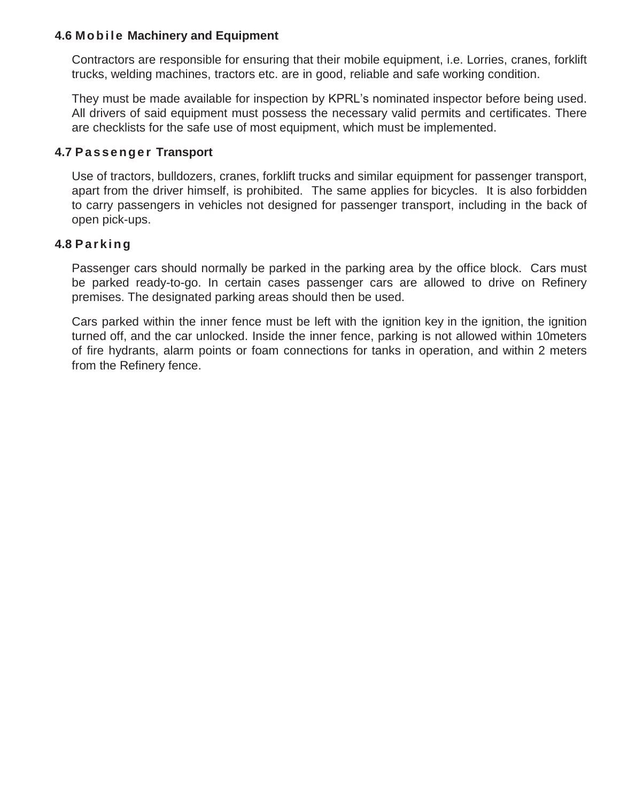## **4.6 Mobile Machinery and Equipment**

Contractors are responsible for ensuring that their mobile equipment, i.e. Lorries, cranes, forklift trucks, welding machines, tractors etc. are in good, reliable and safe working condition.

They must be made available for inspection by KPRL's nominated inspector before being used. All drivers of said equipment must possess the necessary valid permits and certificates. There are checklists for the safe use of most equipment, which must be implemented.

### **4.7 P a s s e nge r Transport**

Use of tractors, bulldozers, cranes, forklift trucks and similar equipment for passenger transport, apart from the driver himself, is prohibited. The same applies for bicycles. It is also forbidden to carry passengers in vehicles not designed for passenger transport, including in the back of open pick-ups.

## **4.8 P a r k i n g**

Passenger cars should normally be parked in the parking area by the office block. Cars must be parked ready-to-go. In certain cases passenger cars are allowed to drive on Refinery premises. The designated parking areas should then be used.

Cars parked within the inner fence must be left with the ignition key in the ignition, the ignition turned off, and the car unlocked. Inside the inner fence, parking is not allowed within 10meters of fire hydrants, alarm points or foam connections for tanks in operation, and within 2 meters from the Refinery fence.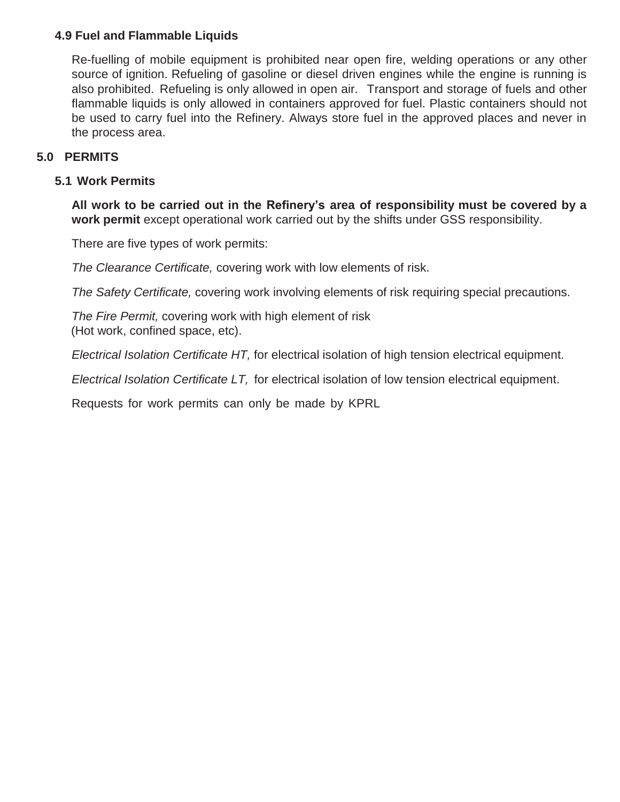## **4.9 Fuel and Flammable Liquids**

Re-fuelling of mobile equipment is prohibited near open fire, welding operations or any other source of ignition. Refueling of gasoline or diesel driven engines while the engine is running is also prohibited. Refueling is only allowed in open air. Transport and storage of fuels and other flammable liquids is only allowed in containers approved for fuel. Plastic containers should not be used to carry fuel into the Refinery. Always store fuel in the approved places and never in the process area.

#### **5.0 PERMITS**

#### **5.1 Work Permits**

**All work to be carried out in the Refinery's area of responsibility must be covered by a work permit** except operational work carried out by the shifts under GSS responsibility.

There are five types of work permits:

*The Clearance Certificate,* covering work with low elements of risk.

*The Safety Certificate,* covering work involving elements of risk requiring special precautions.

*The Fire Permit,* covering work with high element of risk (Hot work, confined space, etc).

*Electrical Isolation Certificate HT,* for electrical isolation of high tension electrical equipment.

*Electrical Isolation Certificate LT,* for electrical isolation of low tension electrical equipment.

Requests for work permits can only be made by KPRL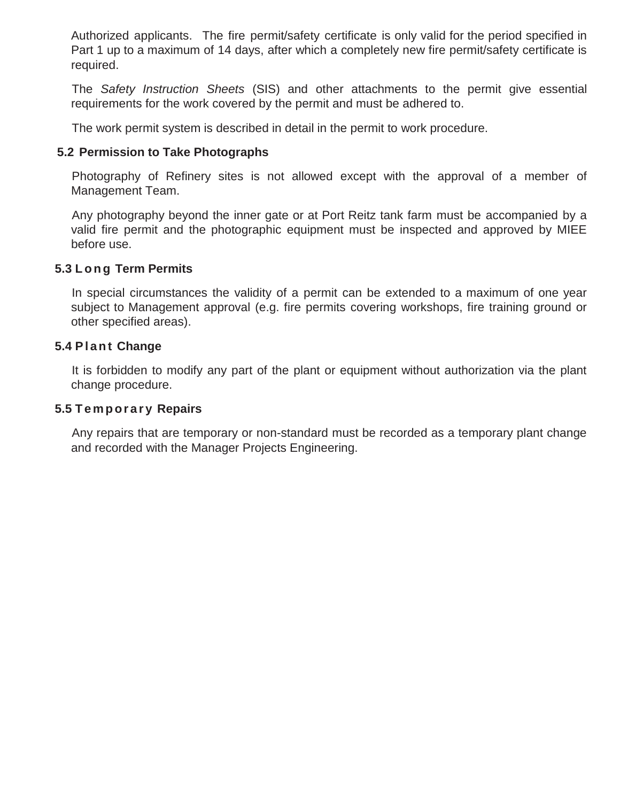Authorized applicants. The fire permit/safety certificate is only valid for the period specified in Part 1 up to a maximum of 14 days, after which a completely new fire permit/safety certificate is required.

The *Safety Instruction Sheets* (SIS) and other attachments to the permit give essential requirements for the work covered by the permit and must be adhered to.

The work permit system is described in detail in the permit to work procedure.

## **5.2 Permission to Take Photographs**

Photography of Refinery sites is not allowed except with the approval of a member of Management Team.

Any photography beyond the inner gate or at Port Reitz tank farm must be accompanied by a valid fire permit and the photographic equipment must be inspected and approved by MIEE before use.

#### **5.3 Long Term Permits**

In special circumstances the validity of a permit can be extended to a maximum of one year subject to Management approval (e.g. fire permits covering workshops, fire training ground or other specified areas).

#### **5.4 P l a n t Change**

It is forbidden to modify any part of the plant or equipment without authorization via the plant change procedure.

#### **5.5 T e m p or a r y Repairs**

Any repairs that are temporary or non-standard must be recorded as a temporary plant change and recorded with the Manager Projects Engineering.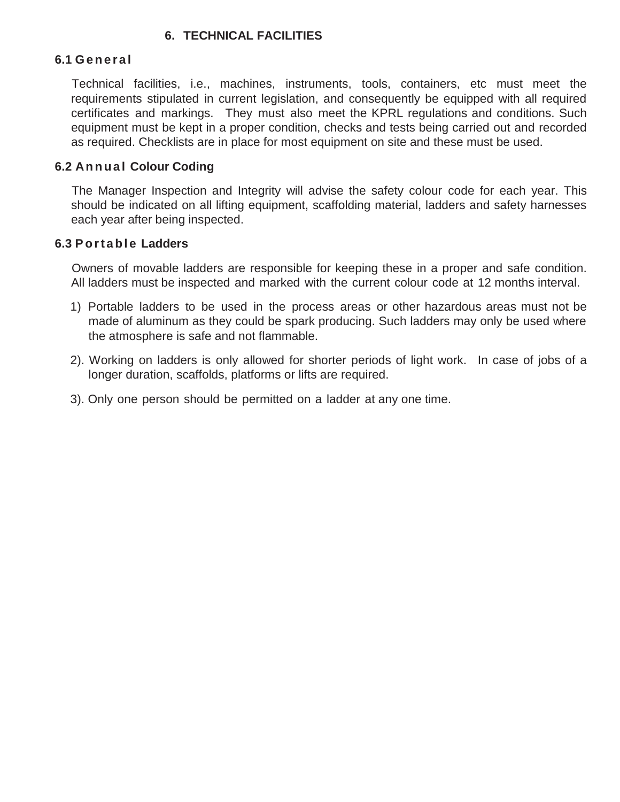## **6. TECHNICAL FACILITIES**

### **6.1 G e ne r a l**

Technical facilities, i.e., machines, instruments, tools, containers, etc must meet the requirements stipulated in current legislation, and consequently be equipped with all required certificates and markings. They must also meet the KPRL regulations and conditions. Such equipment must be kept in a proper condition, checks and tests being carried out and recorded as required. Checklists are in place for most equipment on site and these must be used.

## **6.2 An n u a l Colour Coding**

The Manager Inspection and Integrity will advise the safety colour code for each year. This should be indicated on all lifting equipment, scaffolding material, ladders and safety harnesses each year after being inspected.

### **6.3 P or ta bl e Ladders**

Owners of movable ladders are responsible for keeping these in a proper and safe condition. All ladders must be inspected and marked with the current colour code at 12 months interval.

- 1) Portable ladders to be used in the process areas or other hazardous areas must not be made of aluminum as they could be spark producing. Such ladders may only be used where the atmosphere is safe and not flammable.
- 2). Working on ladders is only allowed for shorter periods of light work. In case of jobs of a longer duration, scaffolds, platforms or lifts are required.
- 3). Only one person should be permitted on a ladder at any one time.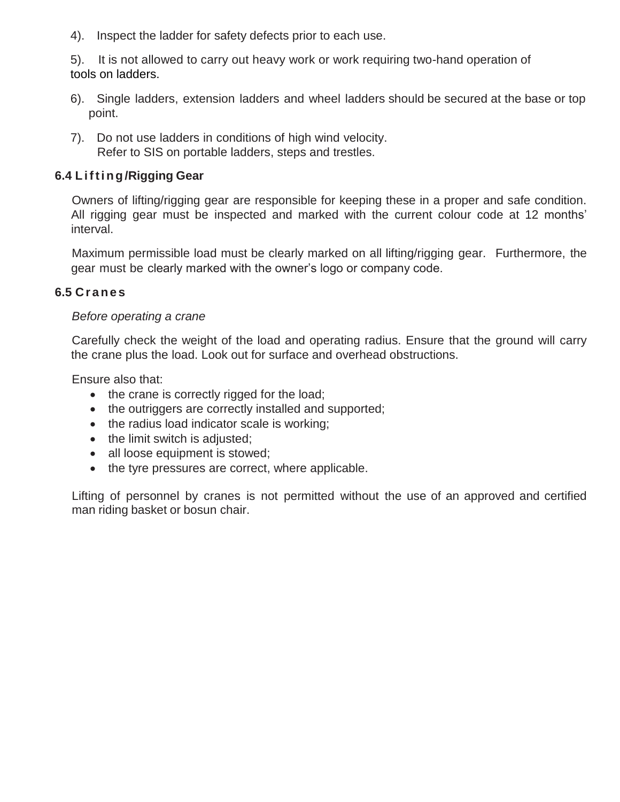4). Inspect the ladder for safety defects prior to each use.

5). It is not allowed to carry out heavy work or work requiring two-hand operation of tools on ladders.

- 6). Single ladders, extension ladders and wheel ladders should be secured at the base or top point.
- 7). Do not use ladders in conditions of high wind velocity. Refer to SIS on portable ladders, steps and trestles.

## **6.4 L i f ti ng /Rigging Gear**

Owners of lifting/rigging gear are responsible for keeping these in a proper and safe condition. All rigging gear must be inspected and marked with the current colour code at 12 months' interval.

Maximum permissible load must be clearly marked on all lifting/rigging gear. Furthermore, the gear must be clearly marked with the owner's logo or company code.

## **6.5 Cr a ne s**

#### *Before operating a crane*

Carefully check the weight of the load and operating radius. Ensure that the ground will carry the crane plus the load. Look out for surface and overhead obstructions.

Ensure also that:

- the crane is correctly rigged for the load;
- the outriggers are correctly installed and supported;
- the radius load indicator scale is working;
- the limit switch is adjusted;
- all loose equipment is stowed;
- the tyre pressures are correct, where applicable.

Lifting of personnel by cranes is not permitted without the use of an approved and certified man riding basket or bosun chair.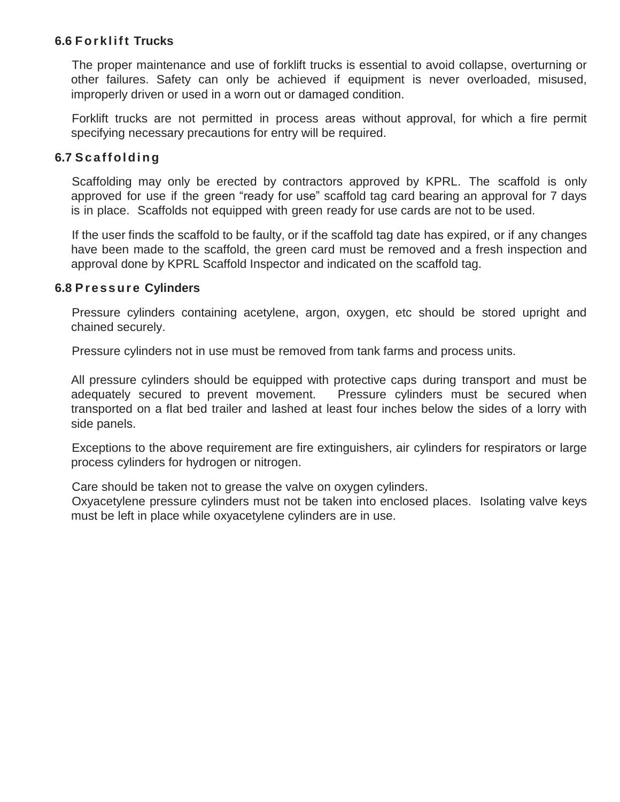## **6.6 F o r k l i f t Trucks**

The proper maintenance and use of forklift trucks is essential to avoid collapse, overturning or other failures. Safety can only be achieved if equipment is never overloaded, misused, improperly driven or used in a worn out or damaged condition.

Forklift trucks are not permitted in process areas without approval, for which a fire permit specifying necessary precautions for entry will be required.

### **6.7 S c a f f ol di n g**

Scaffolding may only be erected by contractors approved by KPRL. The scaffold is only approved for use if the green "ready for use" scaffold tag card bearing an approval for 7 days is in place. Scaffolds not equipped with green ready for use cards are not to be used.

If the user finds the scaffold to be faulty, or if the scaffold tag date has expired, or if any changes have been made to the scaffold, the green card must be removed and a fresh inspection and approval done by KPRL Scaffold Inspector and indicated on the scaffold tag.

#### **6.8 P r e s s ur e Cylinders**

Pressure cylinders containing acetylene, argon, oxygen, etc should be stored upright and chained securely.

Pressure cylinders not in use must be removed from tank farms and process units.

All pressure cylinders should be equipped with protective caps during transport and must be adequately secured to prevent movement. Pressure cylinders must be secured when transported on a flat bed trailer and lashed at least four inches below the sides of a lorry with side panels.

Exceptions to the above requirement are fire extinguishers, air cylinders for respirators or large process cylinders for hydrogen or nitrogen.

Care should be taken not to grease the valve on oxygen cylinders.

Oxyacetylene pressure cylinders must not be taken into enclosed places. Isolating valve keys must be left in place while oxyacetylene cylinders are in use.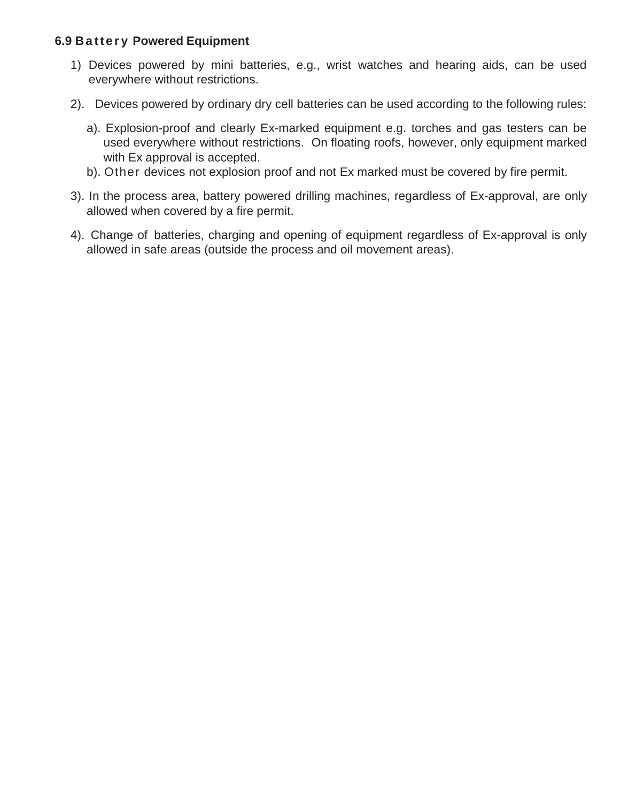## **6.9 Ba t te r y Powered Equipment**

- 1) Devices powered by mini batteries, e.g., wrist watches and hearing aids, can be used everywhere without restrictions.
- 2). Devices powered by ordinary dry cell batteries can be used according to the following rules:
	- a). Explosion-proof and clearly Ex-marked equipment e.g. torches and gas testers can be used everywhere without restrictions. On floating roofs, however, only equipment marked with Ex approval is accepted.
	- b). Other devices not explosion proof and not Ex marked must be covered by fire permit.
- 3). In the process area, battery powered drilling machines, regardless of Ex-approval, are only allowed when covered by a fire permit.
- 4). Change of batteries, charging and opening of equipment regardless of Ex-approval is only allowed in safe areas (outside the process and oil movement areas).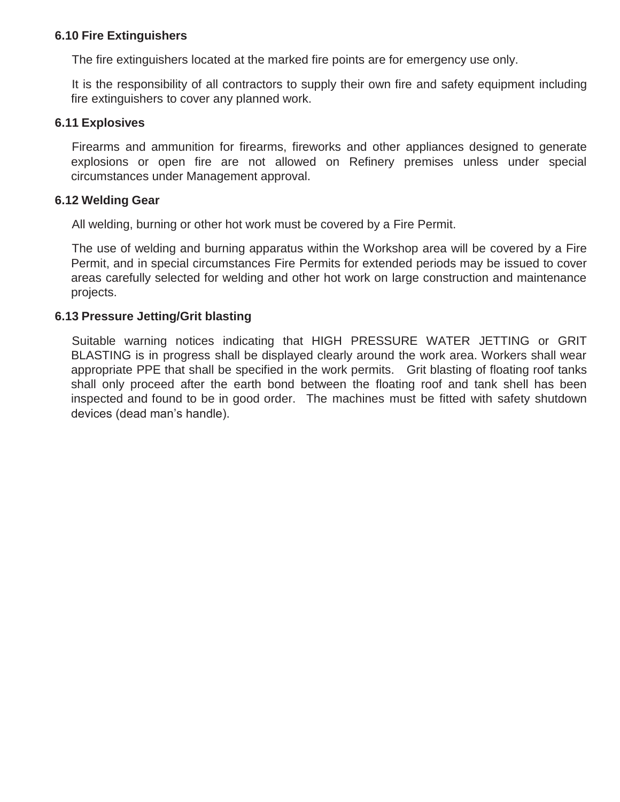#### **6.10 Fire Extinguishers**

The fire extinguishers located at the marked fire points are for emergency use only.

It is the responsibility of all contractors to supply their own fire and safety equipment including fire extinguishers to cover any planned work.

#### **6.11 Explosives**

Firearms and ammunition for firearms, fireworks and other appliances designed to generate explosions or open fire are not allowed on Refinery premises unless under special circumstances under Management approval.

#### **6.12 Welding Gear**

All welding, burning or other hot work must be covered by a Fire Permit.

The use of welding and burning apparatus within the Workshop area will be covered by a Fire Permit, and in special circumstances Fire Permits for extended periods may be issued to cover areas carefully selected for welding and other hot work on large construction and maintenance projects.

#### **6.13 Pressure Jetting/Grit blasting**

Suitable warning notices indicating that HIGH PRESSURE WATER JETTING or GRIT BLASTING is in progress shall be displayed clearly around the work area. Workers shall wear appropriate PPE that shall be specified in the work permits. Grit blasting of floating roof tanks shall only proceed after the earth bond between the floating roof and tank shell has been inspected and found to be in good order. The machines must be fitted with safety shutdown devices (dead man's handle).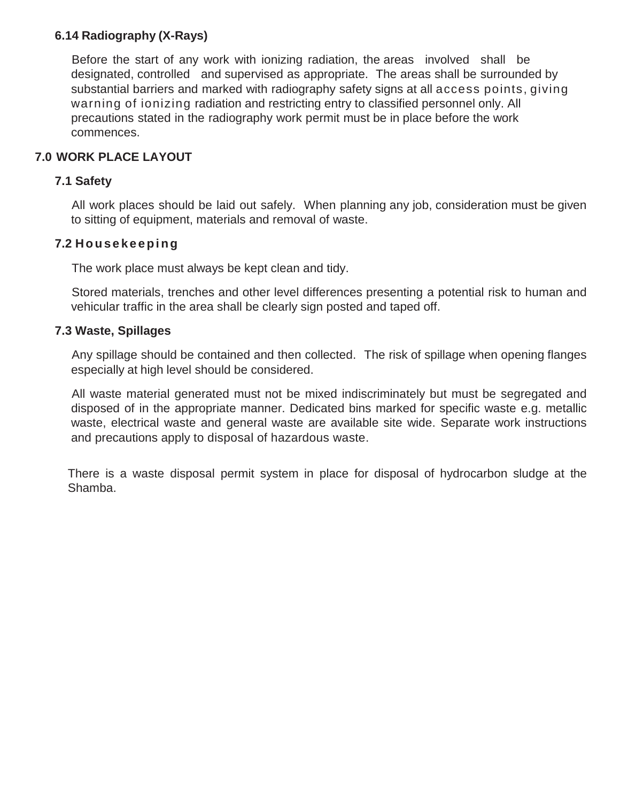## **6.14 Radiography (X-Rays)**

Before the start of any work with ionizing radiation, the areas involved shall be designated, controlled and supervised as appropriate. The areas shall be surrounded by substantial barriers and marked with radiography safety signs at all access points, giving warning of ionizing radiation and restricting entry to classified personnel only. All precautions stated in the radiography work permit must be in place before the work commences.

### **7.0 WORK PLACE LAYOUT**

#### **7.1 Safety**

All work places should be laid out safely. When planning any job, consideration must be given to sitting of equipment, materials and removal of waste.

#### **7.2 Ho us e k e e pi ng**

The work place must always be kept clean and tidy.

Stored materials, trenches and other level differences presenting a potential risk to human and vehicular traffic in the area shall be clearly sign posted and taped off.

#### **7.3 Waste, Spillages**

Any spillage should be contained and then collected. The risk of spillage when opening flanges especially at high level should be considered.

All waste material generated must not be mixed indiscriminately but must be segregated and disposed of in the appropriate manner. Dedicated bins marked for specific waste e.g. metallic waste, electrical waste and general waste are available site wide. Separate work instructions and precautions apply to disposal of hazardous waste.

There is a waste disposal permit system in place for disposal of hydrocarbon sludge at the Shamba.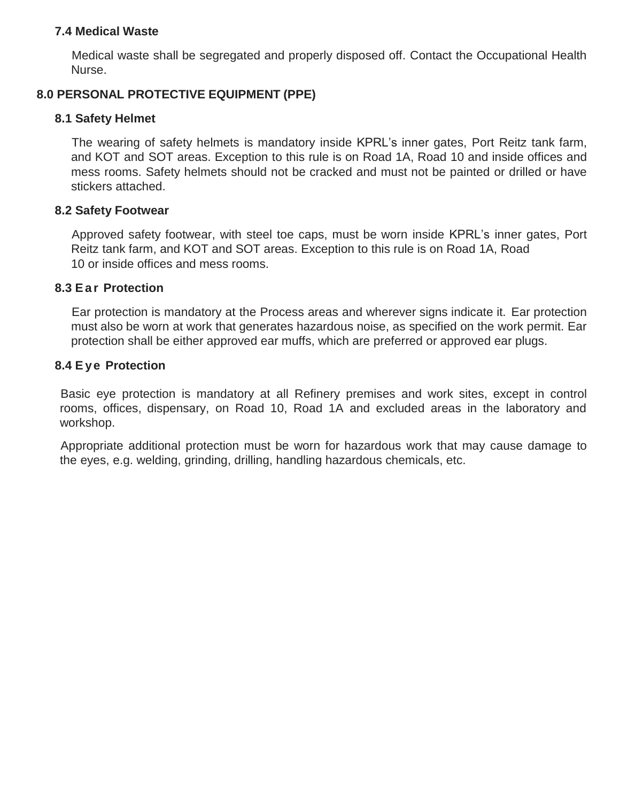### **7.4 Medical Waste**

Medical waste shall be segregated and properly disposed off. Contact the Occupational Health Nurse.

## **8.0 PERSONAL PROTECTIVE EQUIPMENT (PPE)**

## **8.1 Safety Helmet**

The wearing of safety helmets is mandatory inside KPRL's inner gates, Port Reitz tank farm, and KOT and SOT areas. Exception to this rule is on Road 1A, Road 10 and inside offices and mess rooms. Safety helmets should not be cracked and must not be painted or drilled or have stickers attached.

## **8.2 Safety Footwear**

Approved safety footwear, with steel toe caps, must be worn inside KPRL's inner gates, Port Reitz tank farm, and KOT and SOT areas. Exception to this rule is on Road 1A, Road 10 or inside offices and mess rooms.

## **8.3 E a r Protection**

Ear protection is mandatory at the Process areas and wherever signs indicate it. Ear protection must also be worn at work that generates hazardous noise, as specified on the work permit. Ear protection shall be either approved ear muffs, which are preferred or approved ear plugs.

## **8.4 E ye Protection**

Basic eye protection is mandatory at all Refinery premises and work sites, except in control rooms, offices, dispensary, on Road 10, Road 1A and excluded areas in the laboratory and workshop.

Appropriate additional protection must be worn for hazardous work that may cause damage to the eyes, e.g. welding, grinding, drilling, handling hazardous chemicals, etc.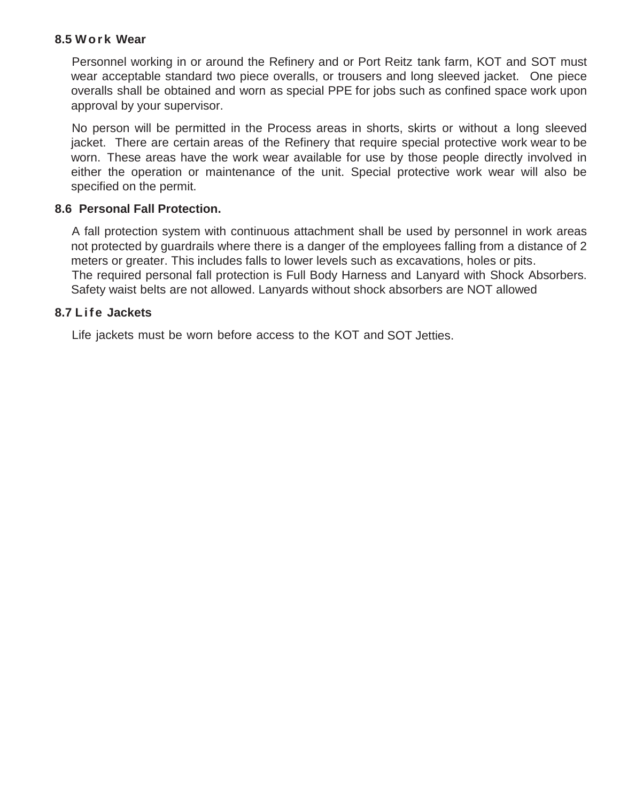### **8.5 W o r k Wear**

Personnel working in or around the Refinery and or Port Reitz tank farm, KOT and SOT must wear acceptable standard two piece overalls, or trousers and long sleeved jacket. One piece overalls shall be obtained and worn as special PPE for jobs such as confined space work upon approval by your supervisor.

No person will be permitted in the Process areas in shorts, skirts or without a long sleeved jacket. There are certain areas of the Refinery that require special protective work wear to be worn. These areas have the work wear available for use by those people directly involved in either the operation or maintenance of the unit. Special protective work wear will also be specified on the permit.

## **8.6 Personal Fall Protection.**

A fall protection system with continuous attachment shall be used by personnel in work areas not protected by guardrails where there is a danger of the employees falling from a distance of 2 meters or greater. This includes falls to lower levels such as excavations, holes or pits. The required personal fall protection is Full Body Harness and Lanyard with Shock Absorbers. Safety waist belts are not allowed. Lanyards without shock absorbers are NOT allowed

### **8.7 L i fe Jackets**

Life jackets must be worn before access to the KOT and SOT Jetties.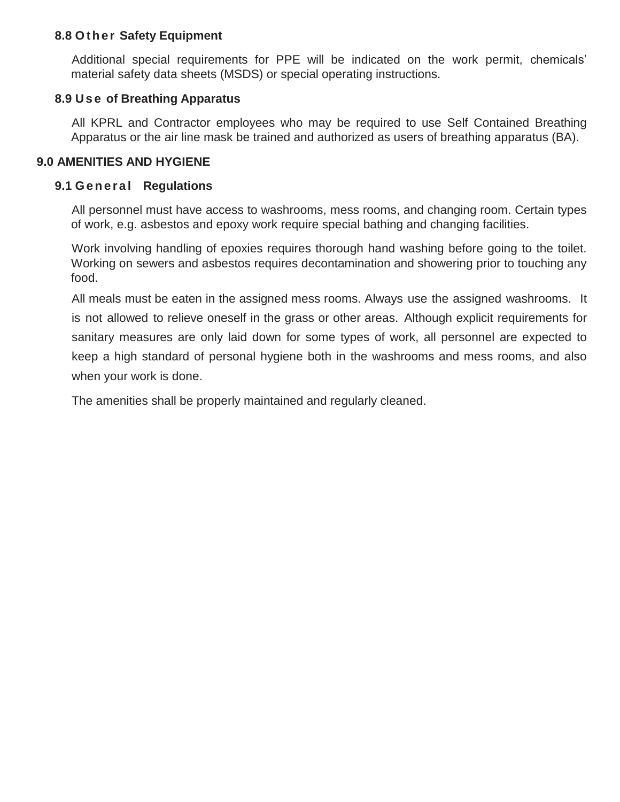## **8.8 O t he r Safety Equipment**

Additional special requirements for PPE will be indicated on the work permit, chemicals' material safety data sheets (MSDS) or special operating instructions.

#### **8.9 Us e of Breathing Apparatus**

All KPRL and Contractor employees who may be required to use Self Contained Breathing Apparatus or the air line mask be trained and authorized as users of breathing apparatus (BA).

#### **9.0 AMENITIES AND HYGIENE**

#### **9.1 General Regulations**

All personnel must have access to washrooms, mess rooms, and changing room. Certain types of work, e.g. asbestos and epoxy work require special bathing and changing facilities.

Work involving handling of epoxies requires thorough hand washing before going to the toilet. Working on sewers and asbestos requires decontamination and showering prior to touching any food.

All meals must be eaten in the assigned mess rooms. Always use the assigned washrooms. It is not allowed to relieve oneself in the grass or other areas. Although explicit requirements for sanitary measures are only laid down for some types of work, all personnel are expected to keep a high standard of personal hygiene both in the washrooms and mess rooms, and also when your work is done.

The amenities shall be properly maintained and regularly cleaned.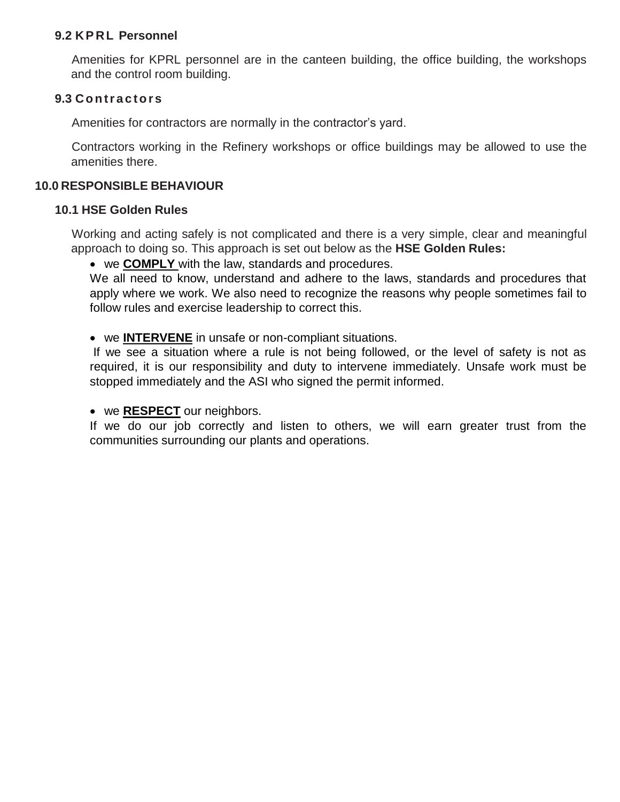## **9.2 KP RL Personnel**

Amenities for KPRL personnel are in the canteen building, the office building, the workshops and the control room building.

#### **9.3 Co n tr a c to r s**

Amenities for contractors are normally in the contractor's yard.

Contractors working in the Refinery workshops or office buildings may be allowed to use the amenities there.

#### **10.0 RESPONSIBLE BEHAVIOUR**

#### **10.1 HSE Golden Rules**

Working and acting safely is not complicated and there is a very simple, clear and meaningful approach to doing so. This approach is set out below as the **HSE Golden Rules:**

we **COMPLY** with the law, standards and procedures.

We all need to know, understand and adhere to the laws, standards and procedures that apply where we work. We also need to recognize the reasons why people sometimes fail to follow rules and exercise leadership to correct this.

we **INTERVENE** in unsafe or non-compliant situations.

If we see a situation where a rule is not being followed, or the level of safety is not as required, it is our responsibility and duty to intervene immediately. Unsafe work must be stopped immediately and the ASI who signed the permit informed.

we **RESPECT** our neighbors.

If we do our job correctly and listen to others, we will earn greater trust from the communities surrounding our plants and operations.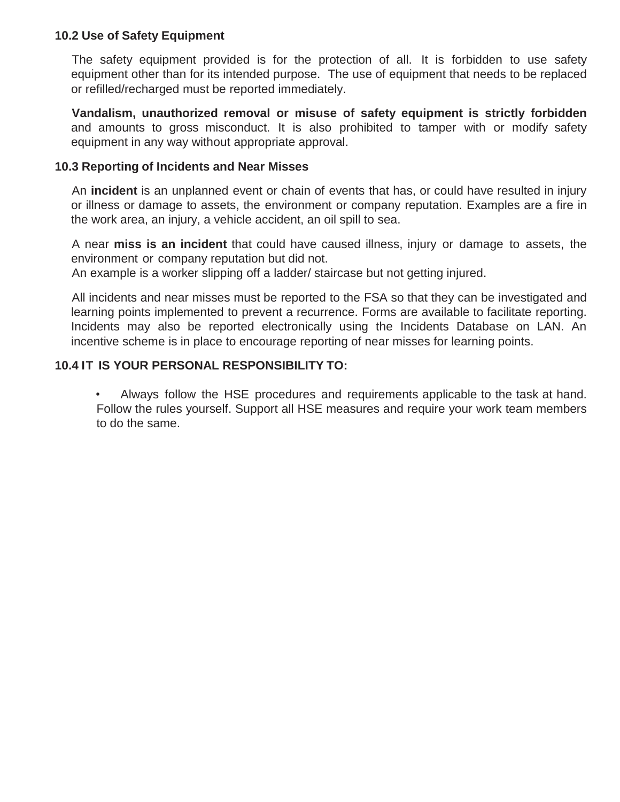### **10.2 Use of Safety Equipment**

The safety equipment provided is for the protection of all. It is forbidden to use safety equipment other than for its intended purpose. The use of equipment that needs to be replaced or refilled/recharged must be reported immediately.

**Vandalism, unauthorized removal or misuse of safety equipment is strictly forbidden**  and amounts to gross misconduct. It is also prohibited to tamper with or modify safety equipment in any way without appropriate approval.

#### **10.3 Reporting of Incidents and Near Misses**

An **incident** is an unplanned event or chain of events that has, or could have resulted in injury or illness or damage to assets, the environment or company reputation. Examples are a fire in the work area, an injury, a vehicle accident, an oil spill to sea.

A near **miss is an incident** that could have caused illness, injury or damage to assets, the environment or company reputation but did not.

An example is a worker slipping off a ladder/ staircase but not getting injured.

All incidents and near misses must be reported to the FSA so that they can be investigated and learning points implemented to prevent a recurrence. Forms are available to facilitate reporting. Incidents may also be reported electronically using the Incidents Database on LAN. An incentive scheme is in place to encourage reporting of near misses for learning points.

#### **10.4 IT IS YOUR PERSONAL RESPONSIBILITY TO:**

• Always follow the HSE procedures and requirements applicable to the task at hand. Follow the rules yourself. Support all HSE measures and require your work team members to do the same.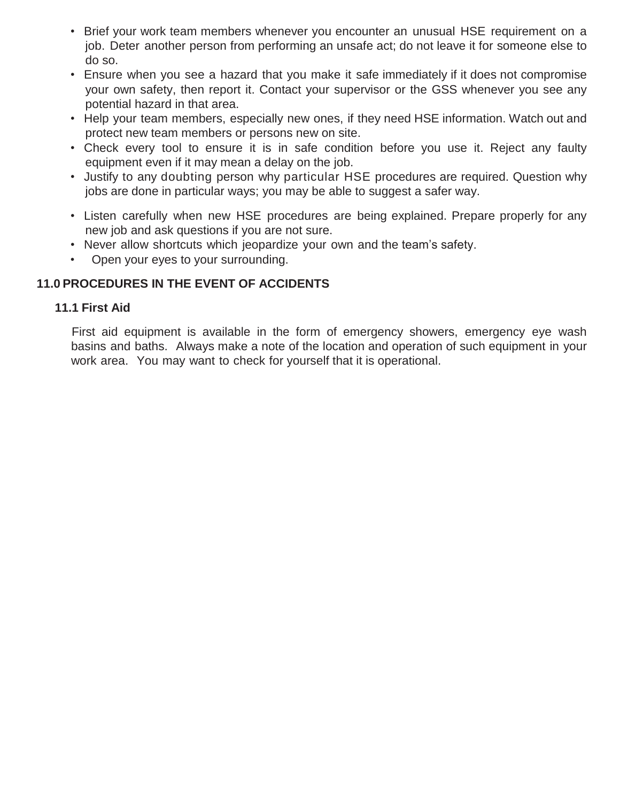- Brief your work team members whenever you encounter an unusual HSE requirement on a job. Deter another person from performing an unsafe act; do not leave it for someone else to do so.
- Ensure when you see a hazard that you make it safe immediately if it does not compromise your own safety, then report it. Contact your supervisor or the GSS whenever you see any potential hazard in that area.
- Help your team members, especially new ones, if they need HSE information. Watch out and protect new team members or persons new on site.
- Check every tool to ensure it is in safe condition before you use it. Reject any faulty equipment even if it may mean a delay on the job.
- Justify to any doubting person why particular HSE procedures are required. Question why jobs are done in particular ways; you may be able to suggest a safer way.
- Listen carefully when new HSE procedures are being explained. Prepare properly for any new job and ask questions if you are not sure.
- Never allow shortcuts which jeopardize your own and the team's safety.
- Open your eyes to your surrounding.

## **11.0 PROCEDURES IN THE EVENT OF ACCIDENTS**

### **11.1 First Aid**

First aid equipment is available in the form of emergency showers, emergency eye wash basins and baths. Always make a note of the location and operation of such equipment in your work area. You may want to check for yourself that it is operational.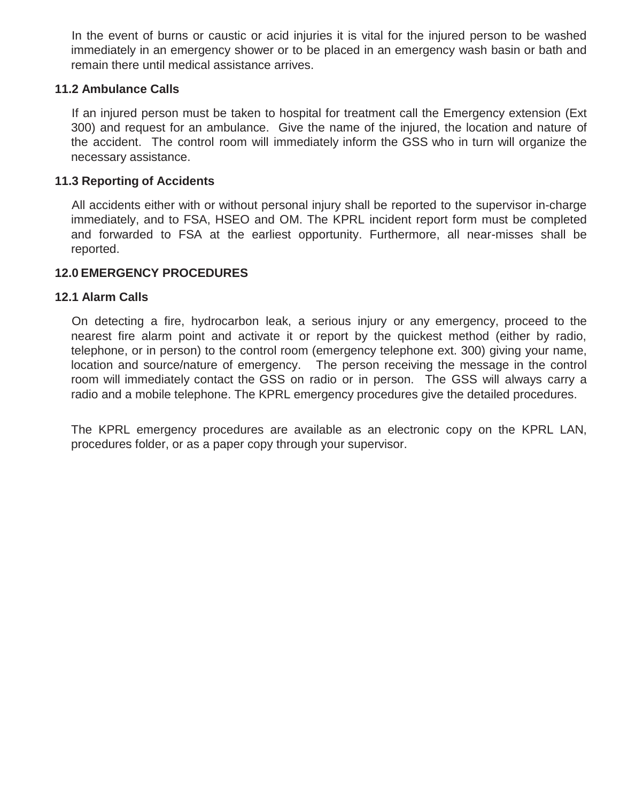In the event of burns or caustic or acid injuries it is vital for the injured person to be washed immediately in an emergency shower or to be placed in an emergency wash basin or bath and remain there until medical assistance arrives.

### **11.2 Ambulance Calls**

If an injured person must be taken to hospital for treatment call the Emergency extension (Ext 300) and request for an ambulance. Give the name of the injured, the location and nature of the accident. The control room will immediately inform the GSS who in turn will organize the necessary assistance.

### **11.3 Reporting of Accidents**

All accidents either with or without personal injury shall be reported to the supervisor in-charge immediately, and to FSA, HSEO and OM. The KPRL incident report form must be completed and forwarded to FSA at the earliest opportunity. Furthermore, all near-misses shall be reported.

#### **12.0 EMERGENCY PROCEDURES**

#### **12.1 Alarm Calls**

On detecting a fire, hydrocarbon leak, a serious injury or any emergency, proceed to the nearest fire alarm point and activate it or report by the quickest method (either by radio, telephone, or in person) to the control room (emergency telephone ext. 300) giving your name, location and source/nature of emergency. The person receiving the message in the control room will immediately contact the GSS on radio or in person. The GSS will always carry a radio and a mobile telephone. The KPRL emergency procedures give the detailed procedures.

The KPRL emergency procedures are available as an electronic copy on the KPRL LAN, procedures folder, or as a paper copy through your supervisor.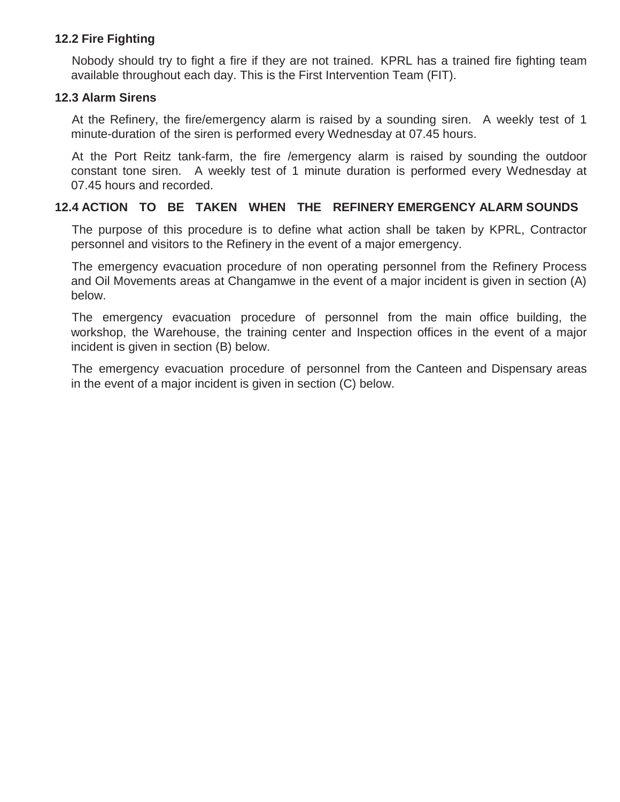## **12.2 Fire Fighting**

Nobody should try to fight a fire if they are not trained. KPRL has a trained fire fighting team available throughout each day. This is the First Intervention Team (FIT).

#### **12.3 Alarm Sirens**

At the Refinery, the fire/emergency alarm is raised by a sounding siren. A weekly test of 1 minute-duration of the siren is performed every Wednesday at 07.45 hours.

At the Port Reitz tank-farm, the fire /emergency alarm is raised by sounding the outdoor constant tone siren. A weekly test of 1 minute duration is performed every Wednesday at 07.45 hours and recorded.

## **12.4 ACTION TO BE TAKEN WHEN THE REFINERY EMERGENCY ALARM SOUNDS**

The purpose of this procedure is to define what action shall be taken by KPRL, Contractor personnel and visitors to the Refinery in the event of a major emergency.

The emergency evacuation procedure of non operating personnel from the Refinery Process and Oil Movements areas at Changamwe in the event of a major incident is given in section (A) below.

The emergency evacuation procedure of personnel from the main office building, the workshop, the Warehouse, the training center and Inspection offices in the event of a major incident is given in section (B) below.

The emergency evacuation procedure of personnel from the Canteen and Dispensary areas in the event of a major incident is given in section (C) below.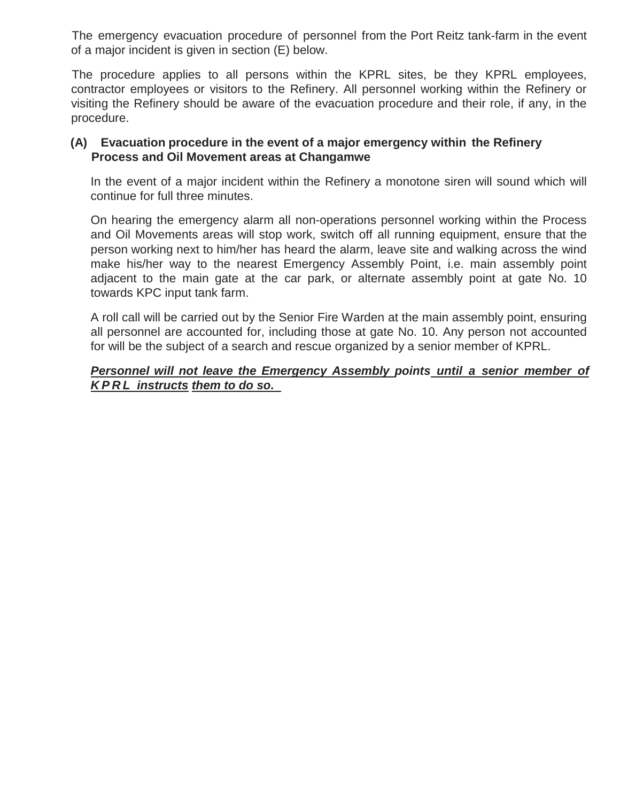The emergency evacuation procedure of personnel from the Port Reitz tank-farm in the event of a major incident is given in section (E) below.

The procedure applies to all persons within the KPRL sites, be they KPRL employees, contractor employees or visitors to the Refinery. All personnel working within the Refinery or visiting the Refinery should be aware of the evacuation procedure and their role, if any, in the procedure.

## **(A) Evacuation procedure in the event of a major emergency within the Refinery Process and Oil Movement areas at Changamwe**

In the event of a major incident within the Refinery a monotone siren will sound which will continue for full three minutes.

On hearing the emergency alarm all non-operations personnel working within the Process and Oil Movements areas will stop work, switch off all running equipment, ensure that the person working next to him/her has heard the alarm, leave site and walking across the wind make his/her way to the nearest Emergency Assembly Point, i.e. main assembly point adjacent to the main gate at the car park, or alternate assembly point at gate No. 10 towards KPC input tank farm.

A roll call will be carried out by the Senior Fire Warden at the main assembly point, ensuring all personnel are accounted for, including those at gate No. 10. Any person not accounted for will be the subject of a search and rescue organized by a senior member of KPRL.

## *Personnel will not leave the Emergency Assembly points until a senior member of K P R L instructs them to do so.*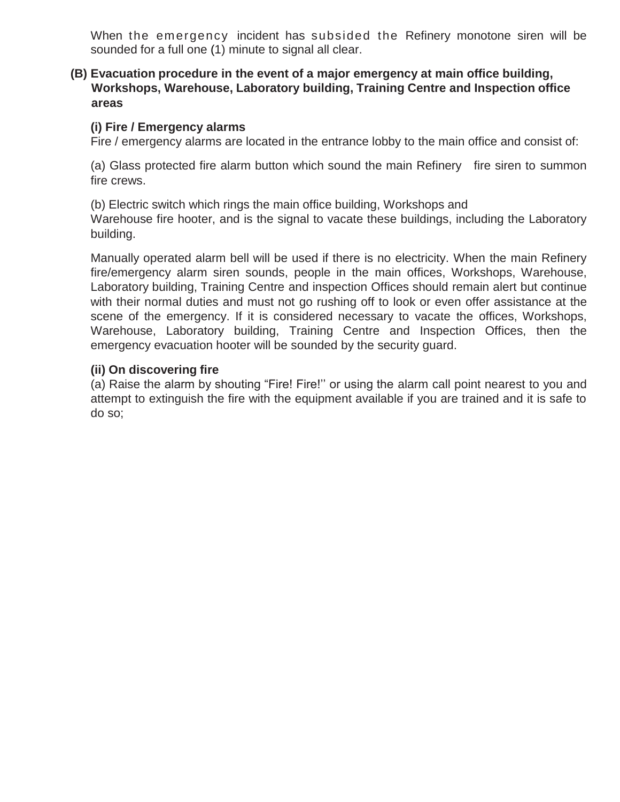When the emergency incident has subsided the Refinery monotone siren will be sounded for a full one (1) minute to signal all clear.

## **(B) Evacuation procedure in the event of a major emergency at main office building, Workshops, Warehouse, Laboratory building, Training Centre and Inspection office areas**

## **(i) Fire / Emergency alarms**

Fire / emergency alarms are located in the entrance lobby to the main office and consist of:

(a) Glass protected fire alarm button which sound the main Refinery fire siren to summon fire crews.

(b) Electric switch which rings the main office building, Workshops and

Warehouse fire hooter, and is the signal to vacate these buildings, including the Laboratory building.

Manually operated alarm bell will be used if there is no electricity. When the main Refinery fire/emergency alarm siren sounds, people in the main offices, Workshops, Warehouse, Laboratory building, Training Centre and inspection Offices should remain alert but continue with their normal duties and must not go rushing off to look or even offer assistance at the scene of the emergency. If it is considered necessary to vacate the offices, Workshops, Warehouse, Laboratory building, Training Centre and Inspection Offices, then the emergency evacuation hooter will be sounded by the security guard.

## **(ii) On discovering fire**

(a) Raise the alarm by shouting "Fire! Fire!'' or using the alarm call point nearest to you and attempt to extinguish the fire with the equipment available if you are trained and it is safe to do so;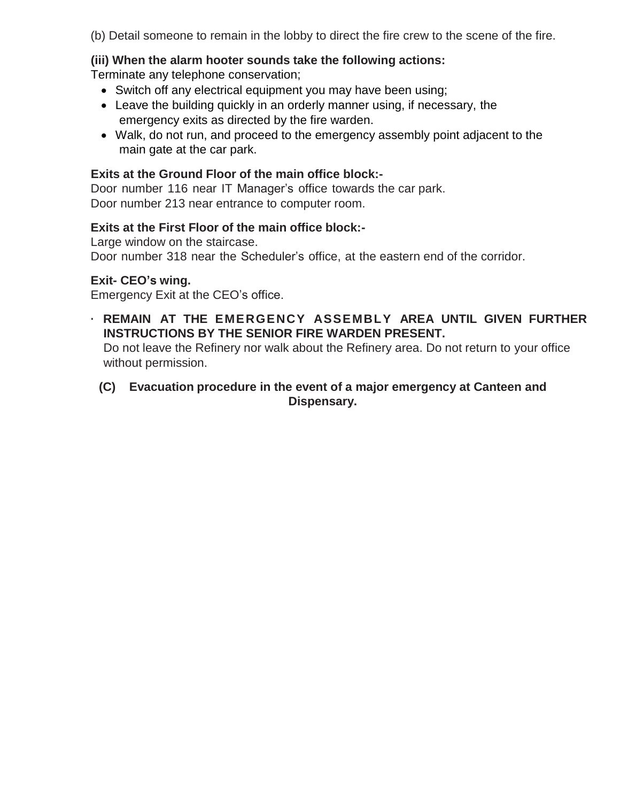(b) Detail someone to remain in the lobby to direct the fire crew to the scene of the fire.

## **(iii) When the alarm hooter sounds take the following actions:**

Terminate any telephone conservation;

- Switch off any electrical equipment you may have been using;
- Leave the building quickly in an orderly manner using, if necessary, the emergency exits as directed by the fire warden.
- Walk, do not run, and proceed to the emergency assembly point adjacent to the main gate at the car park.

## **Exits at the Ground Floor of the main office block:-**

Door number 116 near IT Manager's office towards the car park. Door number 213 near entrance to computer room.

#### **Exits at the First Floor of the main office block:-**

Large window on the staircase.

Door number 318 near the Scheduler's office, at the eastern end of the corridor.

#### **Exit- CEO's wing.**

Emergency Exit at the CEO's office.

**· REMAIN AT THE EMERGENCY ASSEMBLY AREA UNTIL GIVEN FURTHER INSTRUCTIONS BY THE SENIOR FIRE WARDEN PRESENT.**

Do not leave the Refinery nor walk about the Refinery area. Do not return to your office without permission.

## **(C) Evacuation procedure in the event of a major emergency at Canteen and Dispensary.**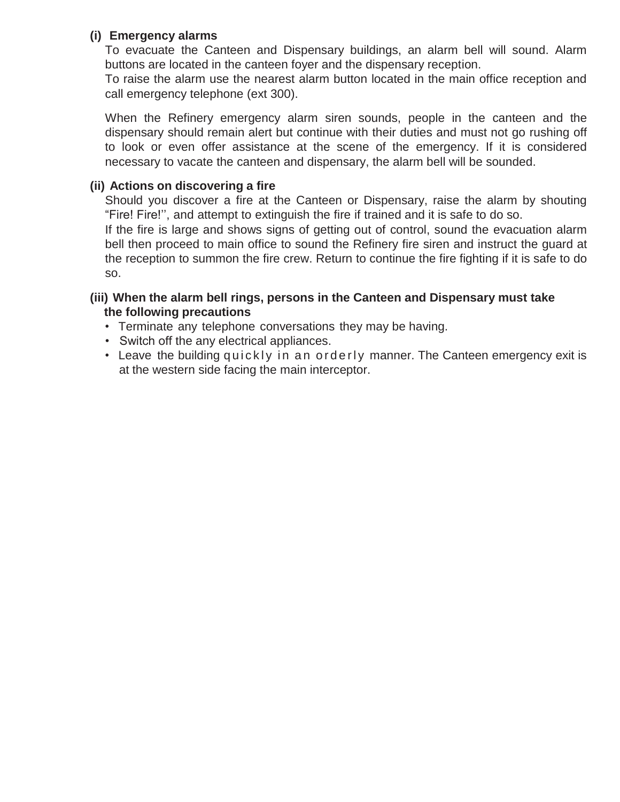## **(i) Emergency alarms**

To evacuate the Canteen and Dispensary buildings, an alarm bell will sound. Alarm buttons are located in the canteen foyer and the dispensary reception.

To raise the alarm use the nearest alarm button located in the main office reception and call emergency telephone (ext 300).

When the Refinery emergency alarm siren sounds, people in the canteen and the dispensary should remain alert but continue with their duties and must not go rushing off to look or even offer assistance at the scene of the emergency. If it is considered necessary to vacate the canteen and dispensary, the alarm bell will be sounded.

## **(ii) Actions on discovering a fire**

Should you discover a fire at the Canteen or Dispensary, raise the alarm by shouting "Fire! Fire!'', and attempt to extinguish the fire if trained and it is safe to do so.

If the fire is large and shows signs of getting out of control, sound the evacuation alarm bell then proceed to main office to sound the Refinery fire siren and instruct the guard at the reception to summon the fire crew. Return to continue the fire fighting if it is safe to do so.

## **(iii) When the alarm bell rings, persons in the Canteen and Dispensary must take the following precautions**

- Terminate any telephone conversations they may be having.
- Switch off the any electrical appliances.
- Leave the building quickly in an orderly manner. The Canteen emergency exit is at the western side facing the main interceptor.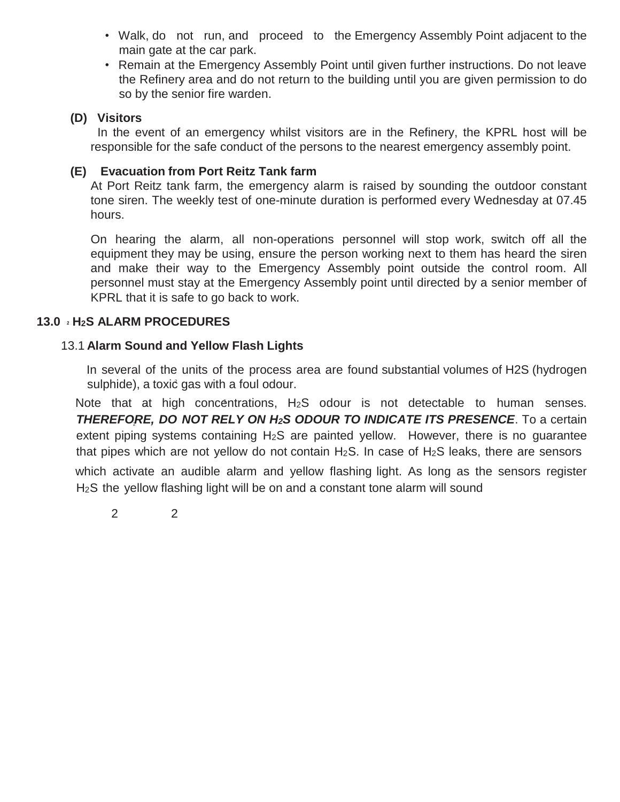- Walk, do not run, and proceed to the Emergency Assembly Point adjacent to the main gate at the car park.
- Remain at the Emergency Assembly Point until given further instructions. Do not leave the Refinery area and do not return to the building until you are given permission to do so by the senior fire warden.

## **(D) Visitors**

 In the event of an emergency whilst visitors are in the Refinery, the KPRL host will be responsible for the safe conduct of the persons to the nearest emergency assembly point.

## **(E) Evacuation from Port Reitz Tank farm**

At Port Reitz tank farm, the emergency alarm is raised by sounding the outdoor constant tone siren. The weekly test of one-minute duration is performed every Wednesday at 07.45 hours.

On hearing the alarm, all non-operations personnel will stop work, switch off all the equipment they may be using, ensure the person working next to them has heard the siren and make their way to the Emergency Assembly point outside the control room. All personnel must stay at the Emergency Assembly point until directed by a senior member of KPRL that it is safe to go back to work.

## **2 13.0 H2S ALARM PROCEDURES**

#### 13.1 **Alarm Sound and Yellow Flash Lights**

sulphide), a toxić gas with a foul odour. In several of the units of the process area are found substantial volumes of H2S (hydrogen

Note that at high concentrations, H<sub>2</sub>S odour is not detectable to human senses. 2 *THEREFORE, DO NOT RELY ON H2S ODOUR TO INDICATE ITS PRESENCE*. To a certain extent piping systems containing  $H_2S$  are painted yellow. However, there is no quarantee that pipes which are not yellow do not contain  $H_2S$ . In case of  $H_2S$  leaks, there are sensors

which activate an audible alarm and yellow flashing light. As long as the sensors register H2S the yellow flashing light will be on and a constant tone alarm will sound

2 2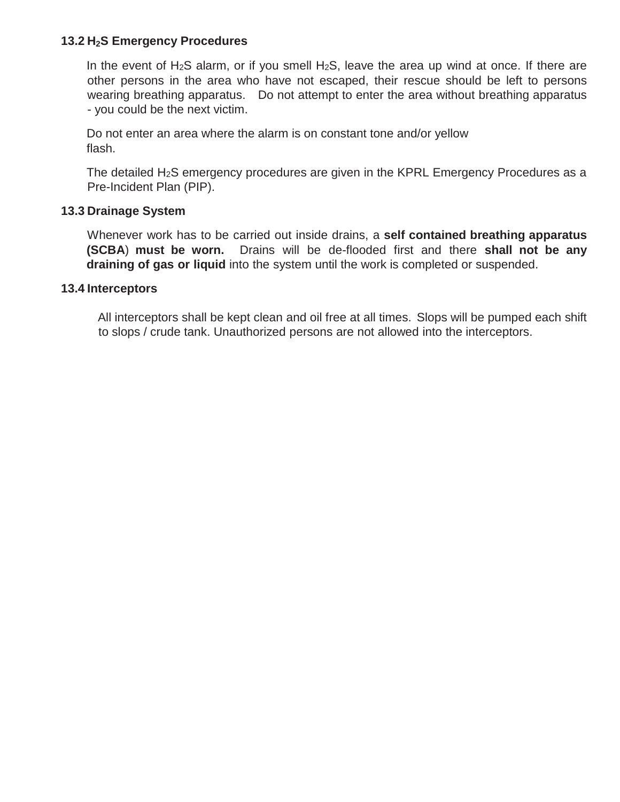### **13.2 H2S Emergency Procedures**

In the event of  $H_2S$  alarm, or if you smell  $H_2S$ , leave the area up wind at once. If there are other persons in the area who have not escaped, their rescue should be left to persons wearing breathing apparatus. Do not attempt to enter the area without breathing apparatus - you could be the next victim.

Do not enter an area where the alarm is on constant tone and/or yellow flash.

The detailed  $H_2S$  emergency procedures are given in the KPRL Emergency Procedures as a Pre-Incident Plan (PIP).

#### **13.3 Drainage System**

Whenever work has to be carried out inside drains, a **self contained breathing apparatus (SCBA**) **must be worn.** Drains will be de-flooded first and there **shall not be any draining of gas or liquid** into the system until the work is completed or suspended.

#### **13.4 Interceptors**

All interceptors shall be kept clean and oil free at all times. Slops will be pumped each shift to slops / crude tank. Unauthorized persons are not allowed into the interceptors.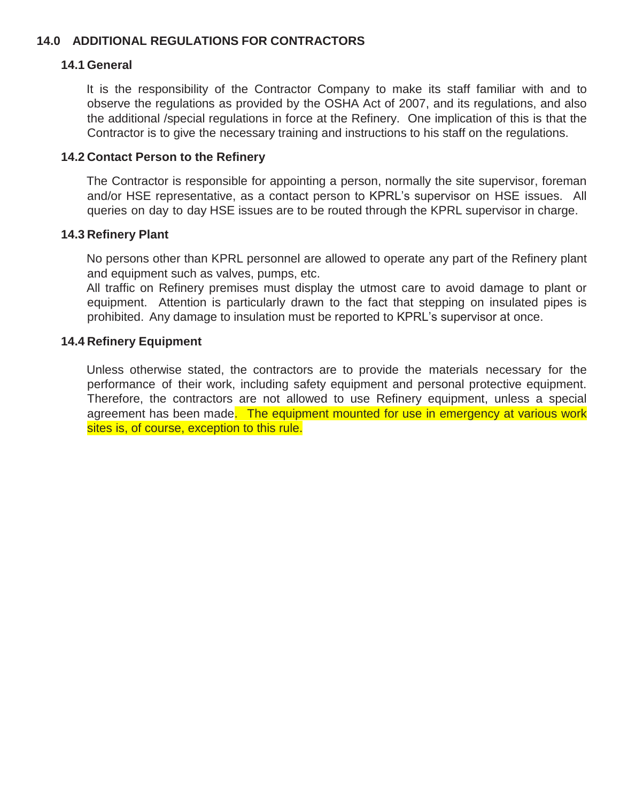## **14.0 ADDITIONAL REGULATIONS FOR CONTRACTORS**

#### **14.1 General**

It is the responsibility of the Contractor Company to make its staff familiar with and to observe the regulations as provided by the OSHA Act of 2007, and its regulations, and also the additional /special regulations in force at the Refinery. One implication of this is that the Contractor is to give the necessary training and instructions to his staff on the regulations.

#### **14.2 Contact Person to the Refinery**

The Contractor is responsible for appointing a person, normally the site supervisor, foreman and/or HSE representative, as a contact person to KPRL's supervisor on HSE issues. All queries on day to day HSE issues are to be routed through the KPRL supervisor in charge.

#### **14.3 Refinery Plant**

No persons other than KPRL personnel are allowed to operate any part of the Refinery plant and equipment such as valves, pumps, etc.

All traffic on Refinery premises must display the utmost care to avoid damage to plant or equipment. Attention is particularly drawn to the fact that stepping on insulated pipes is prohibited. Any damage to insulation must be reported to KPRL's supervisor at once.

#### **14.4 Refinery Equipment**

Unless otherwise stated, the contractors are to provide the materials necessary for the performance of their work, including safety equipment and personal protective equipment. Therefore, the contractors are not allowed to use Refinery equipment, unless a special agreement has been made. The equipment mounted for use in emergency at various work sites is, of course, exception to this rule.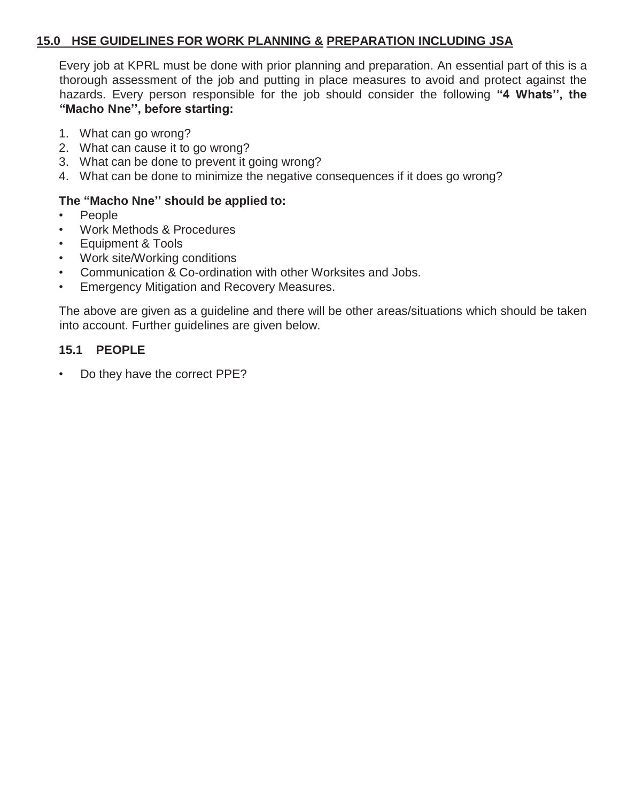## **15.0 HSE GUIDELINES FOR WORK PLANNING & PREPARATION INCLUDING JSA**

Every job at KPRL must be done with prior planning and preparation. An essential part of this is a thorough assessment of the job and putting in place measures to avoid and protect against the hazards. Every person responsible for the job should consider the following **"4 Whats'', the "Macho Nne'', before starting:**

- 1. What can go wrong?
- 2. What can cause it to go wrong?
- 3. What can be done to prevent it going wrong?
- 4. What can be done to minimize the negative consequences if it does go wrong?

## **The "Macho Nne'' should be applied to:**

- People
- Work Methods & Procedures
- Equipment & Tools
- Work site/Working conditions
- Communication & Co-ordination with other Worksites and Jobs.
- Emergency Mitigation and Recovery Measures.

The above are given as a guideline and there will be other areas/situations which should be taken into account. Further guidelines are given below.

## **15.1 PEOPLE**

• Do they have the correct PPE?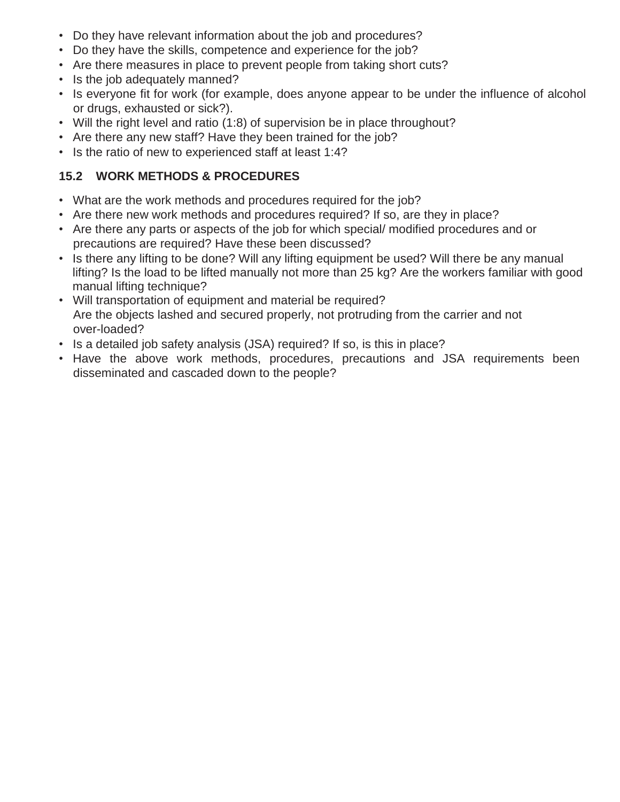- Do they have relevant information about the job and procedures?
- Do they have the skills, competence and experience for the job?
- Are there measures in place to prevent people from taking short cuts?
- Is the job adequately manned?
- Is everyone fit for work (for example, does anyone appear to be under the influence of alcohol or drugs, exhausted or sick?).
- Will the right level and ratio (1:8) of supervision be in place throughout?
- Are there any new staff? Have they been trained for the job?
- Is the ratio of new to experienced staff at least 1:4?

# **15.2 WORK METHODS & PROCEDURES**

- What are the work methods and procedures required for the job?
- Are there new work methods and procedures required? If so, are they in place?
- Are there any parts or aspects of the job for which special/ modified procedures and or precautions are required? Have these been discussed?
- Is there any lifting to be done? Will any lifting equipment be used? Will there be any manual lifting? Is the load to be lifted manually not more than 25 kg? Are the workers familiar with good manual lifting technique?
- Will transportation of equipment and material be required? Are the objects lashed and secured properly, not protruding from the carrier and not over-loaded?
- Is a detailed job safety analysis (JSA) required? If so, is this in place?
- Have the above work methods, procedures, precautions and JSA requirements been disseminated and cascaded down to the people?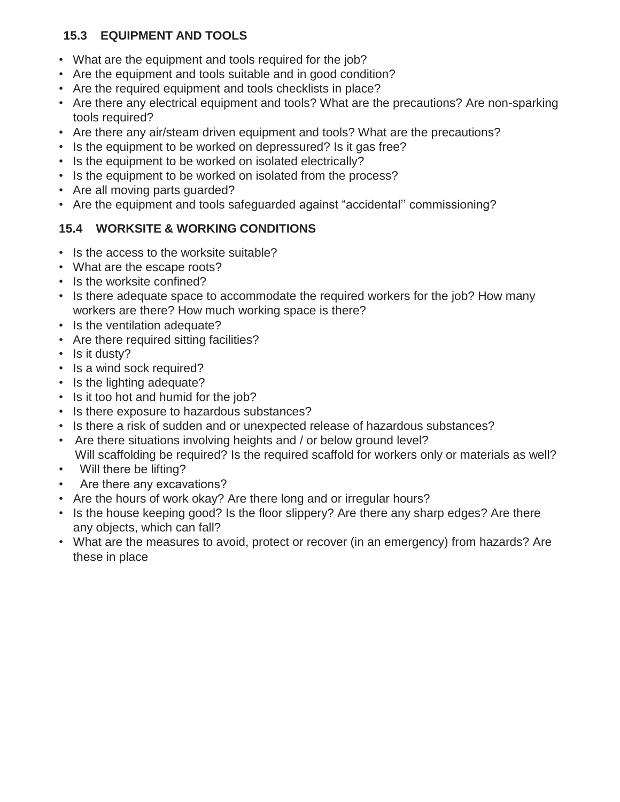## **15.3 EQUIPMENT AND TOOLS**

- What are the equipment and tools required for the job?
- Are the equipment and tools suitable and in good condition?
- Are the required equipment and tools checklists in place?
- Are there any electrical equipment and tools? What are the precautions? Are non-sparking tools required?
- Are there any air/steam driven equipment and tools? What are the precautions?
- Is the equipment to be worked on depressured? Is it gas free?
- Is the equipment to be worked on isolated electrically?
- Is the equipment to be worked on isolated from the process?
- Are all moving parts guarded?
- Are the equipment and tools safeguarded against "accidental'' commissioning?

# **15.4 WORKSITE & WORKING CONDITIONS**

- Is the access to the worksite suitable?
- What are the escape roots?
- Is the worksite confined?
- Is there adequate space to accommodate the required workers for the job? How many workers are there? How much working space is there?
- Is the ventilation adequate?
- Are there required sitting facilities?
- Is it dusty?
- Is a wind sock required?
- Is the lighting adequate?
- Is it too hot and humid for the job?
- Is there exposure to hazardous substances?
- Is there a risk of sudden and or unexpected release of hazardous substances?
- Are there situations involving heights and / or below ground level? Will scaffolding be required? Is the required scaffold for workers only or materials as well?
- Will there be lifting?
- Are there any excavations?
- Are the hours of work okay? Are there long and or irregular hours?
- Is the house keeping good? Is the floor slippery? Are there any sharp edges? Are there any objects, which can fall?
- What are the measures to avoid, protect or recover (in an emergency) from hazards? Are these in place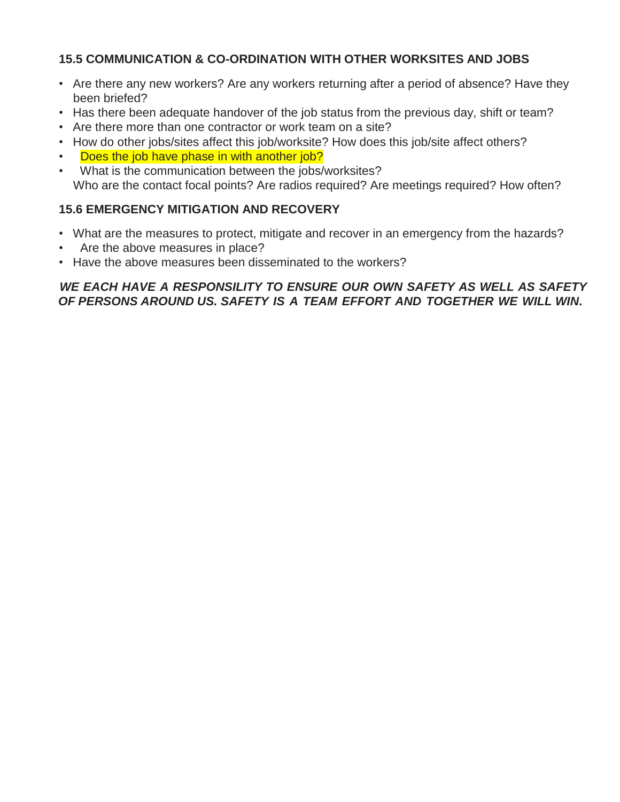## **15.5 COMMUNICATION & CO-ORDINATION WITH OTHER WORKSITES AND JOBS**

- Are there any new workers? Are any workers returning after a period of absence? Have they been briefed?
- Has there been adequate handover of the job status from the previous day, shift or team?
- Are there more than one contractor or work team on a site?
- How do other jobs/sites affect this job/worksite? How does this job/site affect others?
- Does the job have phase in with another job?
- What is the communication between the jobs/worksites? Who are the contact focal points? Are radios required? Are meetings required? How often?

## **15.6 EMERGENCY MITIGATION AND RECOVERY**

- What are the measures to protect, mitigate and recover in an emergency from the hazards?
- Are the above measures in place?
- Have the above measures been disseminated to the workers?

## *WE EACH HAVE A RESPONSILITY TO ENSURE OUR OWN SAFETY AS WELL AS SAFETY OF PERSONS AROUND US. SAFETY IS A TEAM EFFORT AND TOGETHER WE WILL WIN***.**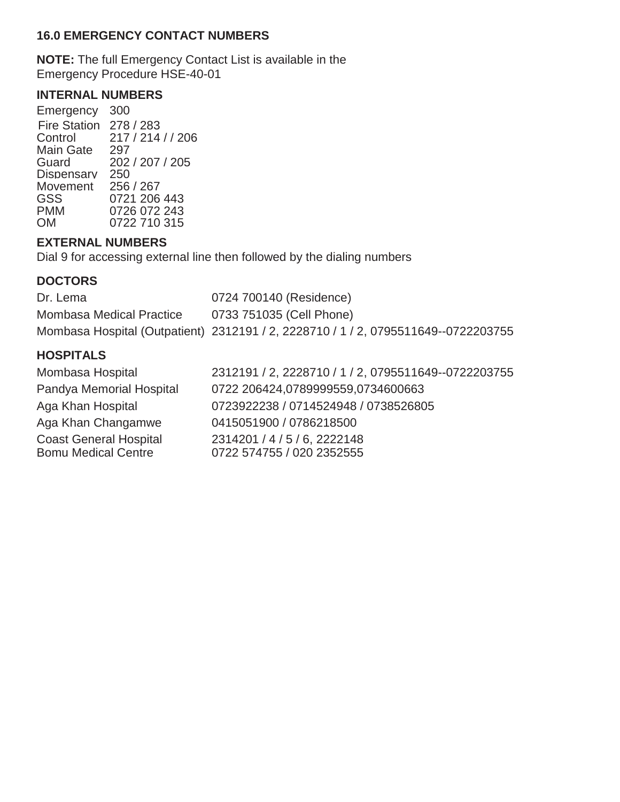## **16.0 EMERGENCY CONTACT NUMBERS**

**NOTE:** The full Emergency Contact List is available in the Emergency Procedure HSE-40-01

#### **INTERNAL NUMBERS**

Emergency 300 Fire Station 278 / 283 **Control** Main ( 217 / 214 / / 206 Main Gate 297 Guard Disper 202 / 207 / 205 Dispensary 250 Movement 256 / 267 GSS<br>PMM 0721 206 443 PMM 0726 072 243<br>OM 0722 710 315 0722 710 315

## **EXTERNAL NUMBERS**

Dial 9 for accessing external line then followed by the dialing numbers

## **DOCTORS**

| Dr. Lema                 | 0724 700140 (Residence)                                                            |
|--------------------------|------------------------------------------------------------------------------------|
| Mombasa Medical Practice | 0733 751035 (Cell Phone)                                                           |
|                          | Mombasa Hospital (Outpatient) 2312191 / 2, 2228710 / 1 / 2, 0795511649--0722203755 |

## **HOSPITALS**

| Mombasa Hospital                                            | 2312191 / 2, 2228710 / 1 / 2, 0795511649--0722203755      |
|-------------------------------------------------------------|-----------------------------------------------------------|
| Pandya Memorial Hospital                                    | 0722 206424,0789999559,0734600663                         |
| Aga Khan Hospital                                           | 0723922238 / 0714524948 / 0738526805                      |
| Aga Khan Changamwe                                          | 0415051900 / 0786218500                                   |
| <b>Coast General Hospital</b><br><b>Bomu Medical Centre</b> | 2314201 / 4 / 5 / 6, 2222148<br>0722 574755 / 020 2352555 |